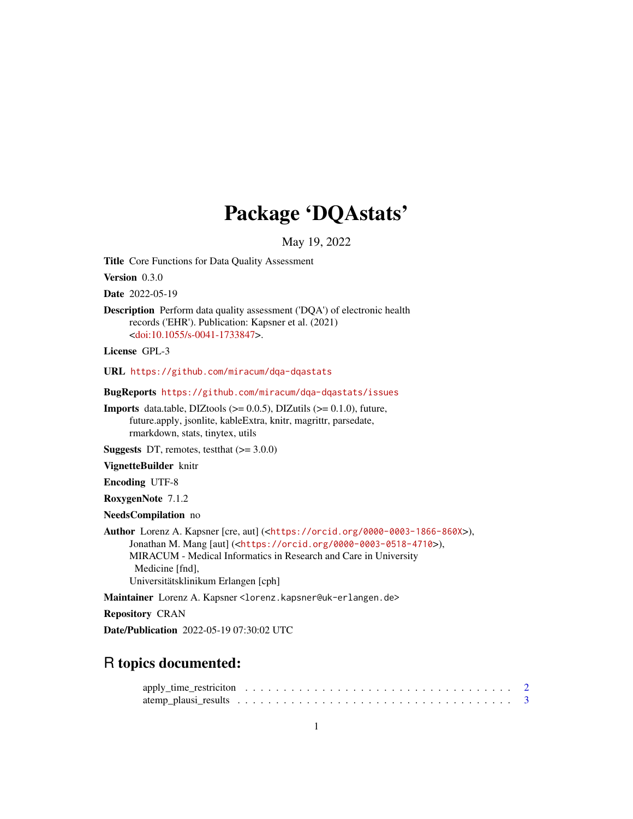# Package 'DQAstats'

May 19, 2022

Title Core Functions for Data Quality Assessment

Version 0.3.0

Date 2022-05-19

Description Perform data quality assessment ('DQA') of electronic health records ('EHR'). Publication: Kapsner et al. (2021) [<doi:10.1055/s-0041-1733847>](https://doi.org/10.1055/s-0041-1733847).

License GPL-3

URL <https://github.com/miracum/dqa-dqastats>

BugReports <https://github.com/miracum/dqa-dqastats/issues>

**Imports** data.table, DIZtools  $(>= 0.0.5)$ , DIZutils  $(>= 0.1.0)$ , future, future.apply, jsonlite, kableExtra, knitr, magrittr, parsedate, rmarkdown, stats, tinytex, utils

**Suggests** DT, remotes, test that  $(>= 3.0.0)$ 

VignetteBuilder knitr

Encoding UTF-8

RoxygenNote 7.1.2

NeedsCompilation no

Author Lorenz A. Kapsner [cre, aut] (<<https://orcid.org/0000-0003-1866-860X>>), Jonathan M. Mang [aut] (<<https://orcid.org/0000-0003-0518-4710>>), MIRACUM - Medical Informatics in Research and Care in University Medicine [fnd], Universitätsklinikum Erlangen [cph]

Maintainer Lorenz A. Kapsner <lorenz.kapsner@uk-erlangen.de>

Repository CRAN

Date/Publication 2022-05-19 07:30:02 UTC

# R topics documented: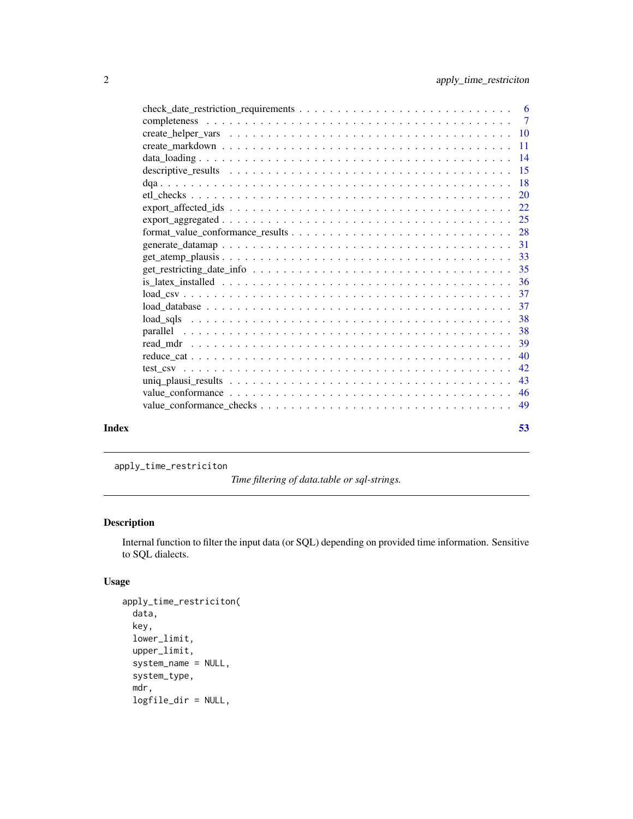<span id="page-1-0"></span>

| Index | 53 |
|-------|----|

apply\_time\_restriciton

*Time filtering of data.table or sql-strings.*

# Description

Internal function to filter the input data (or SQL) depending on provided time information. Sensitive to SQL dialects.

# Usage

```
apply_time_restriciton(
 data,
  key,
  lower_limit,
 upper_limit,
  system_name = NULL,
  system_type,
  mdr,
  logfile_dir = NULL,
```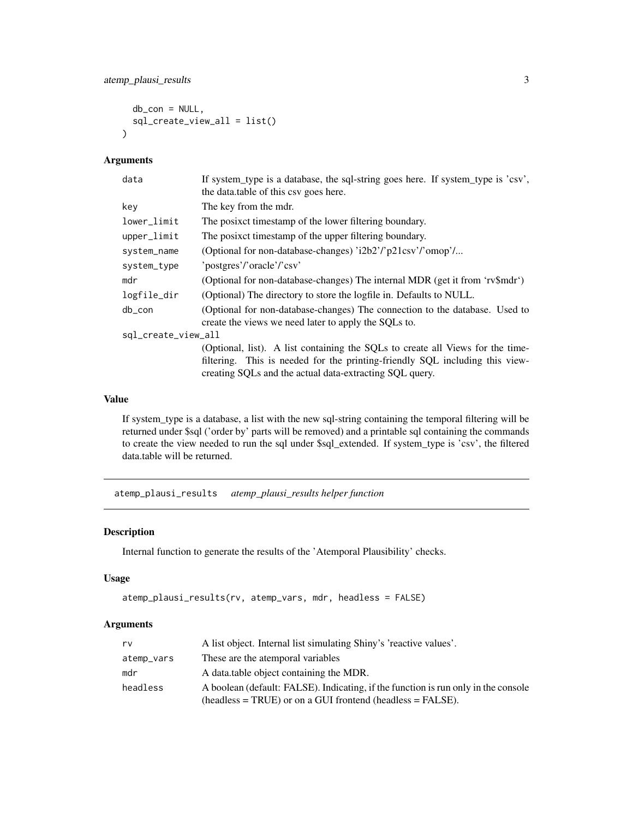```
db_{con} = NULL,sql_create_view_all = list()
\lambda
```
### Arguments

| data                | If system_type is a database, the sql-string goes here. If system_type is 'csv',<br>the data table of this csy goes here.                                                                                                 |
|---------------------|---------------------------------------------------------------------------------------------------------------------------------------------------------------------------------------------------------------------------|
| key                 | The key from the mdr.                                                                                                                                                                                                     |
| lower_limit         | The posixet timestamp of the lower filtering boundary.                                                                                                                                                                    |
| upper_limit         | The posixet timestamp of the upper filtering boundary.                                                                                                                                                                    |
| system_name         | (Optional for non-database-changes) 'i2b2'/'p21csv'/'omop'/                                                                                                                                                               |
| system_type         | 'postgres'/'oracle'/'csv'                                                                                                                                                                                                 |
| mdr                 | (Optional for non-database-changes) The internal MDR (get it from 'rv\$mdr')                                                                                                                                              |
| logfile_dir         | (Optional) The directory to store the logfile in. Defaults to NULL.                                                                                                                                                       |
| $db_{con}$          | (Optional for non-database-changes) The connection to the database. Used to<br>create the views we need later to apply the SQLs to.                                                                                       |
| sql_create_view_all |                                                                                                                                                                                                                           |
|                     | (Optional, list). A list containing the SQLs to create all Views for the time-<br>filtering. This is needed for the printing-friendly SQL including this view-<br>creating SQLs and the actual data-extracting SQL query. |

# Value

If system\_type is a database, a list with the new sql-string containing the temporal filtering will be returned under \$sql ('order by' parts will be removed) and a printable sql containing the commands to create the view needed to run the sql under \$sql\_extended. If system\_type is 'csv', the filtered data.table will be returned.

atemp\_plausi\_results *atemp\_plausi\_results helper function*

# Description

Internal function to generate the results of the 'Atemporal Plausibility' checks.

#### Usage

```
atemp_plausi_results(rv, atemp_vars, mdr, headless = FALSE)
```
# Arguments

| rv         | A list object. Internal list simulating Shiny's 'reactive values'.                 |
|------------|------------------------------------------------------------------------------------|
| atemp_vars | These are the atemporal variables                                                  |
| mdr        | A data table object containing the MDR.                                            |
| headless   | A boolean (default: FALSE). Indicating, if the function is run only in the console |
|            | $(headless = TRUE)$ or on a GUI frontend (headless = FALSE).                       |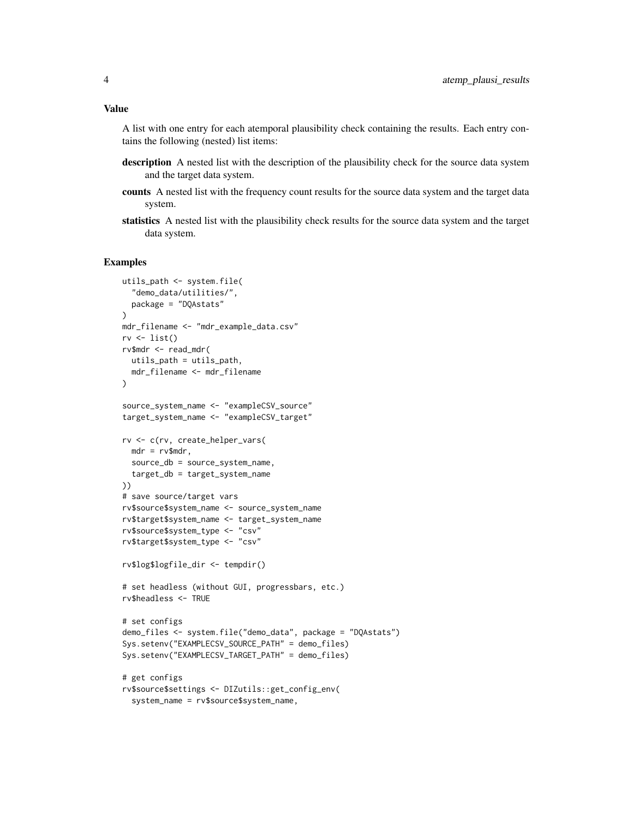#### Value

A list with one entry for each atemporal plausibility check containing the results. Each entry contains the following (nested) list items:

- description A nested list with the description of the plausibility check for the source data system and the target data system.
- counts A nested list with the frequency count results for the source data system and the target data system.
- statistics A nested list with the plausibility check results for the source data system and the target data system.

```
utils_path <- system.file(
  "demo_data/utilities/",
  package = "DQAstats"
\lambdamdr_filename <- "mdr_example_data.csv"
rv \leftarrow list()rv$mdr <- read_mdr(
 utils_path = utils_path,
  mdr_filename <- mdr_filename
)
source_system_name <- "exampleCSV_source"
target_system_name <- "exampleCSV_target"
rv <- c(rv, create_helper_vars(
  mdr = rv$mdr,
  source_db = source_system_name,
  target_db = target_system_name
))
# save source/target vars
rv$source$system_name <- source_system_name
rv$target$system_name <- target_system_name
rv$source$system_type <- "csv"
rv$target$system_type <- "csv"
rv$log$logfile_dir <- tempdir()
# set headless (without GUI, progressbars, etc.)
rv$headless <- TRUE
# set configs
demo_files <- system.file("demo_data", package = "DQAstats")
Sys.setenv("EXAMPLECSV_SOURCE_PATH" = demo_files)
Sys.setenv("EXAMPLECSV_TARGET_PATH" = demo_files)
# get configs
rv$source$settings <- DIZutils::get_config_env(
  system_name = rv$source$system_name,
```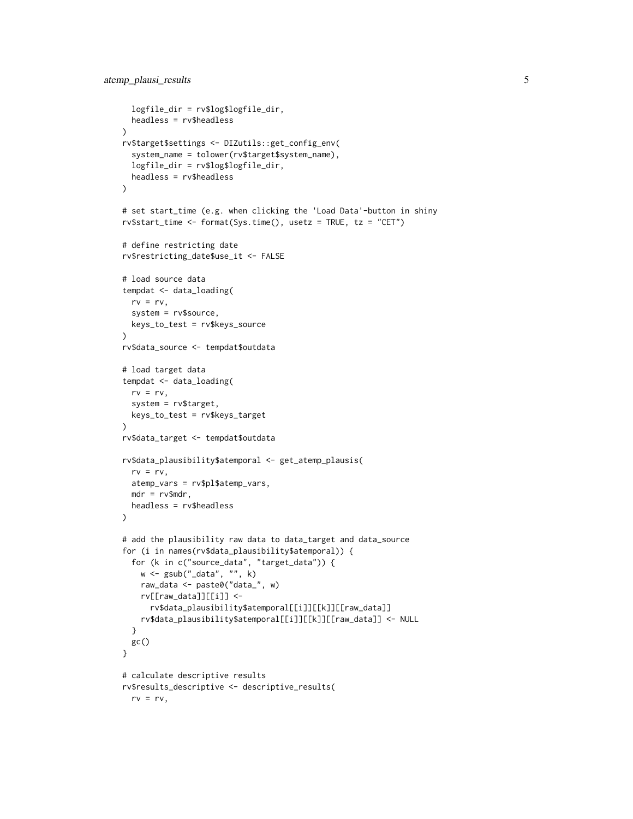```
logfile_dir = rv$log$logfile_dir,
  headless = rv$headless
)
rv$target$settings <- DIZutils::get_config_env(
  system_name = tolower(rv$target$system_name),
  logfile_dir = rv$log$logfile_dir,
  headless = rv$headless
\mathcal{L}# set start_time (e.g. when clicking the 'Load Data'-button in shiny
rv$start_time <- format(Sys.time(), usetz = TRUE, tz = "CET")
# define restricting date
rv$restricting_date$use_it <- FALSE
# load source data
tempdat <- data_loading(
  rv = rv,system = rv$source,
  keys_to_test = rv$keys_source
\mathcal{L}rv$data_source <- tempdat$outdata
# load target data
tempdat <- data_loading(
  rv = rv,system = rv$target,
  keys_to_test = rv$keys_target
)
rv$data_target <- tempdat$outdata
rv$data_plausibility$atemporal <- get_atemp_plausis(
  rv = rv,atemp_vars = rv$pl$atemp_vars,
  mdr = rv$mdr,
  headless = rv$headless
\lambda# add the plausibility raw data to data_target and data_source
for (i in names(rv$data_plausibility$atemporal)) {
  for (k in c("source_data", "target_data")) {
    w <- gsub("_data", "", k)
   raw_data <- paste0("data_", w)
   rv[[raw_data]][[i]] <-
      rv$data_plausibility$atemporal[[i]][[k]][[raw_data]]
   rv$data_plausibility$atemporal[[i]][[k]][[raw_data]] <- NULL
  }
 gc()
}
# calculate descriptive results
rv$results_descriptive <- descriptive_results(
  rv = rv,
```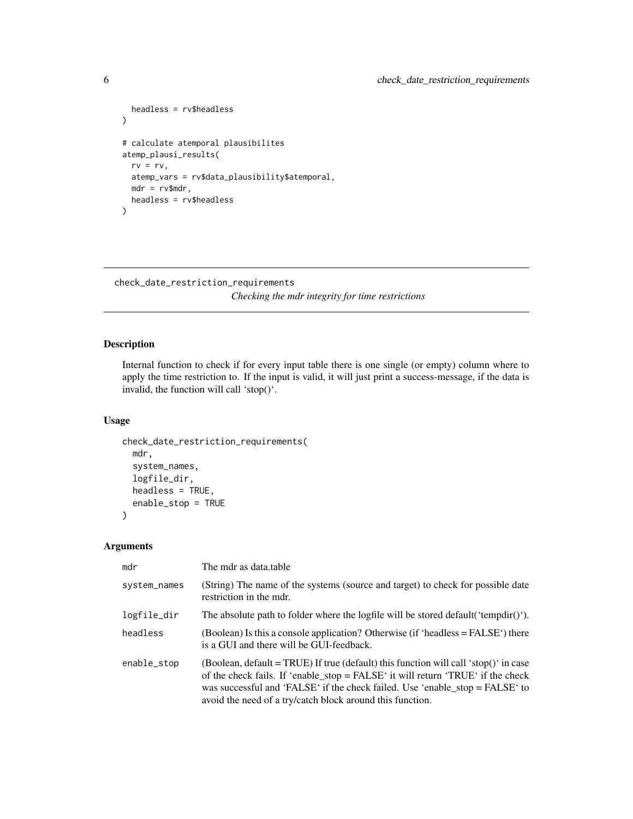```
headless = rv$headless
\mathcal{L}# calculate atemporal plausibilites
atemp_plausi_results(
 rv = rv,atemp_vars = rv$data_plausibility$atemporal,
  mdr = rv$mdr,
  headless = rv$headless
)
```
# check\_date\_restriction\_requirements

*Checking the mdr integrity for time restrictions*

# Description

Internal function to check if for every input table there is one single (or empty) column where to apply the time restriction to. If the input is valid, it will just print a success-message, if the data is invalid, the function will call 'stop()'.

#### Usage

```
check_date_restriction_requirements(
 mdr,
  system_names,
  logfile_dir,
 headless = TRUE,
  enable_stop = TRUE
)
```
# Arguments

| mdr          | The mdr as data.table                                                                                                                                                                                                                                                                                                  |
|--------------|------------------------------------------------------------------------------------------------------------------------------------------------------------------------------------------------------------------------------------------------------------------------------------------------------------------------|
| system_names | (String) The name of the systems (source and target) to check for possible date<br>restriction in the mdr.                                                                                                                                                                                                             |
| logfile_dir  | The absolute path to folder where the logfile will be stored default ('tempdir()').                                                                                                                                                                                                                                    |
| headless     | (Boolean) Is this a console application? Otherwise (if 'headless = $FALSE'$ ) there<br>is a GUI and there will be GUI-feedback.                                                                                                                                                                                        |
| enable_stop  | (Boolean, default = TRUE) If true (default) this function will call 'stop()' in case<br>of the check fails. If 'enable_stop = FALSE' it will return 'TRUE' if the check<br>was successful and 'FALSE' if the check failed. Use 'enable_stop = $FALSE'$ to<br>avoid the need of a try/catch block around this function. |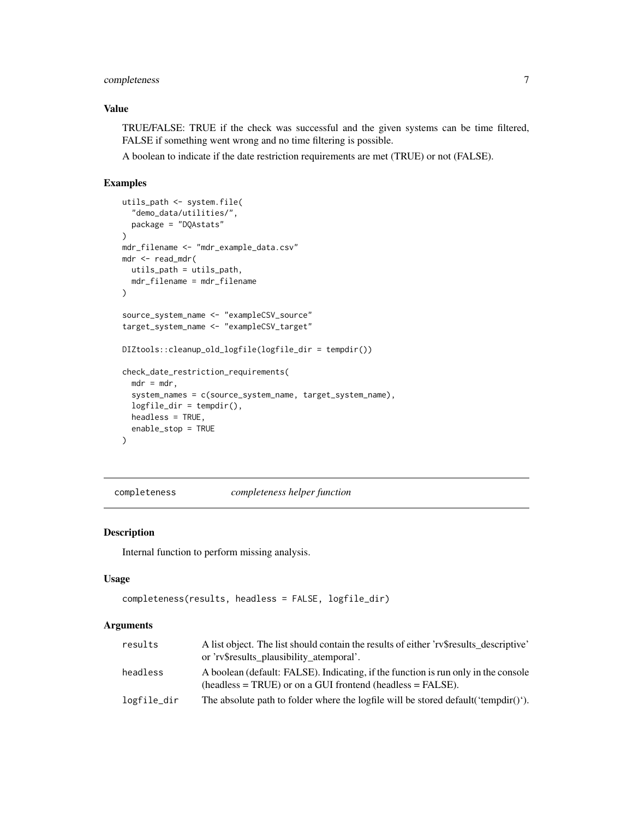# <span id="page-6-0"></span>completeness 7

# Value

TRUE/FALSE: TRUE if the check was successful and the given systems can be time filtered, FALSE if something went wrong and no time filtering is possible.

A boolean to indicate if the date restriction requirements are met (TRUE) or not (FALSE).

# Examples

```
utils_path <- system.file(
  "demo_data/utilities/",
  package = "DQAstats"
)
mdr_filename <- "mdr_example_data.csv"
mdr <- read_mdr(
 utils_path = utils_path,
 mdr_filename = mdr_filename
\lambdasource_system_name <- "exampleCSV_source"
target_system_name <- "exampleCSV_target"
DIZtools::cleanup_old_logfile(logfile_dir = tempdir())
check_date_restriction_requirements(
 mdr = mdr,
  system_names = c(source_system_name, target_system_name),
  logfile_dir = tempdir(),
 headless = TRUE,
  enable_stop = TRUE
\mathcal{L}
```
completeness *completeness helper function*

#### Description

Internal function to perform missing analysis.

# Usage

```
completeness(results, headless = FALSE, logfile_dir)
```
#### Arguments

| results     | A list object. The list should contain the results of either 'reflexible descriptive'<br>or 'rv\$results plausibility atemporal'.                  |
|-------------|----------------------------------------------------------------------------------------------------------------------------------------------------|
| headless    | A boolean (default: FALSE). Indicating, if the function is run only in the console<br>$(headless = TRUE)$ or on a GUI frontend (headless = FALSE). |
| logfile_dir | The absolute path to folder where the logfile will be stored default ('tempdir()').                                                                |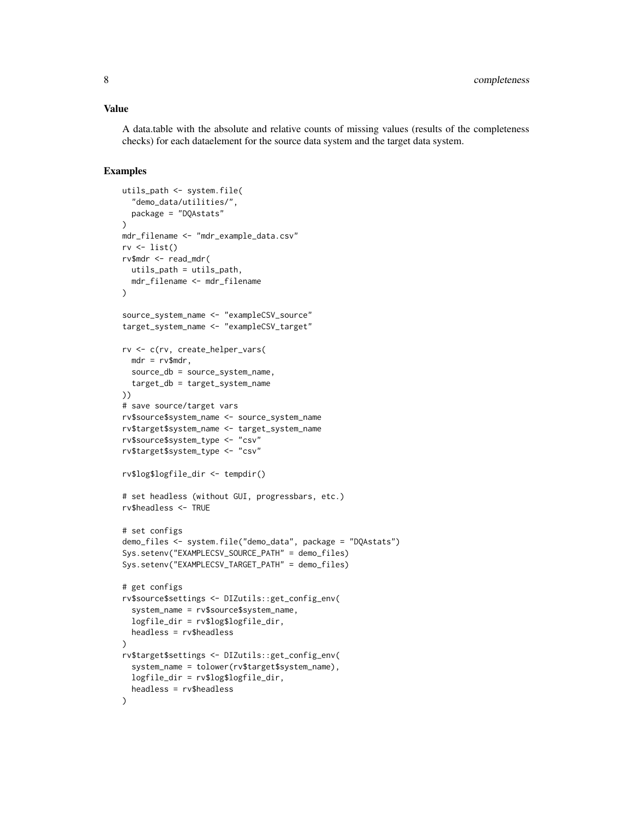#### Value

A data.table with the absolute and relative counts of missing values (results of the completeness checks) for each dataelement for the source data system and the target data system.

```
utils_path <- system.file(
  "demo_data/utilities/",
  package = "DQAstats"
\lambdamdr_filename <- "mdr_example_data.csv"
rv \leftarrow list()
rv$mdr <- read_mdr(
 utils_path = utils_path,
  mdr_filename <- mdr_filename
\lambdasource_system_name <- "exampleCSV_source"
target_system_name <- "exampleCSV_target"
rv <- c(rv, create_helper_vars(
 mdr = rv$mdr,
  source_db = source_system_name,
  target_db = target_system_name
))
# save source/target vars
rv$source$system_name <- source_system_name
rv$target$system_name <- target_system_name
rv$source$system_type <- "csv"
rv$target$system_type <- "csv"
rv$log$logfile_dir <- tempdir()
# set headless (without GUI, progressbars, etc.)
rv$headless <- TRUE
# set configs
demo_files <- system.file("demo_data", package = "DQAstats")
Sys.setenv("EXAMPLECSV_SOURCE_PATH" = demo_files)
Sys.setenv("EXAMPLECSV_TARGET_PATH" = demo_files)
# get configs
rv$source$settings <- DIZutils::get_config_env(
  system_name = rv$source$system_name,
  logfile_dir = rv$log$logfile_dir,
  headless = rv$headless
)
rv$target$settings <- DIZutils::get_config_env(
  system_name = tolower(rv$target$system_name),
  logfile_dir = rv$log$logfile_dir,
  headless = rv$headless
)
```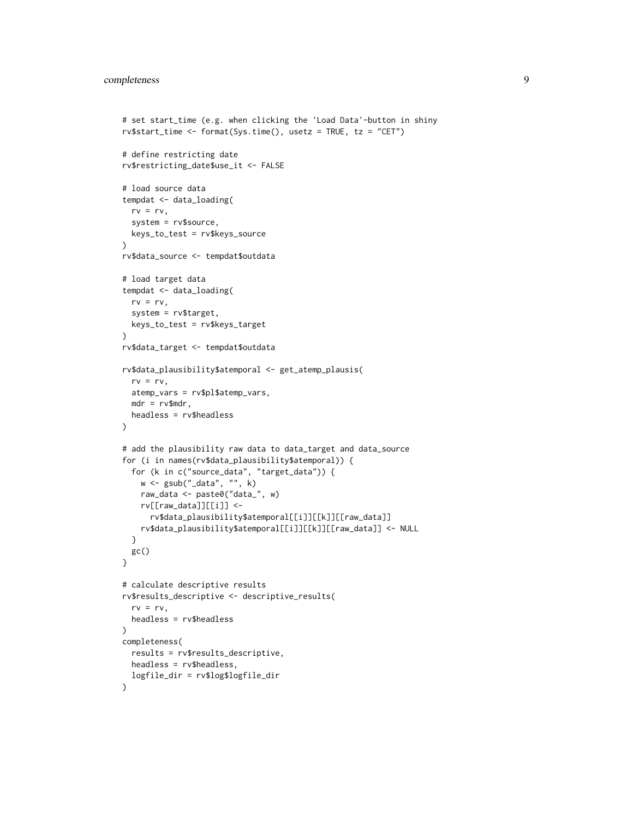```
# set start_time (e.g. when clicking the 'Load Data'-button in shiny
rv$start_time <- format(Sys.time(), usetz = TRUE, tz = "CET")
# define restricting date
rv$restricting_date$use_it <- FALSE
# load source data
tempdat <- data_loading(
  rv = rv,system = rv$source,
  keys_to_test = rv$keys_source
)
rv$data_source <- tempdat$outdata
# load target data
tempdat <- data_loading(
  rv = rv,system = rv$target,
  keys_to_test = rv$keys_target
\mathcal{L}rv$data_target <- tempdat$outdata
rv$data_plausibility$atemporal <- get_atemp_plausis(
  rv = rv,atemp_vars = rv$pl$atemp_vars,
  mdr = rv$mdr,
  headless = rv$headless
)
# add the plausibility raw data to data_target and data_source
for (i in names(rv$data_plausibility$atemporal)) {
  for (k in c("source_data", "target_data")) {
   w <- gsub("_data", "", k)
   raw_data <- paste0("data_", w)
   rv[[raw_data]][[i]] <-
      rv$data_plausibility$atemporal[[i]][[k]][[raw_data]]
   rv$data_plausibility$atemporal[[i]][[k]][[raw_data]] <- NULL
  }
 gc()
}
# calculate descriptive results
rv$results_descriptive <- descriptive_results(
  rv = rv,headless = rv$headless
)
completeness(
  results = rv$results_descriptive,
  headless = rv$headless,
  logfile_dir = rv$log$logfile_dir
)
```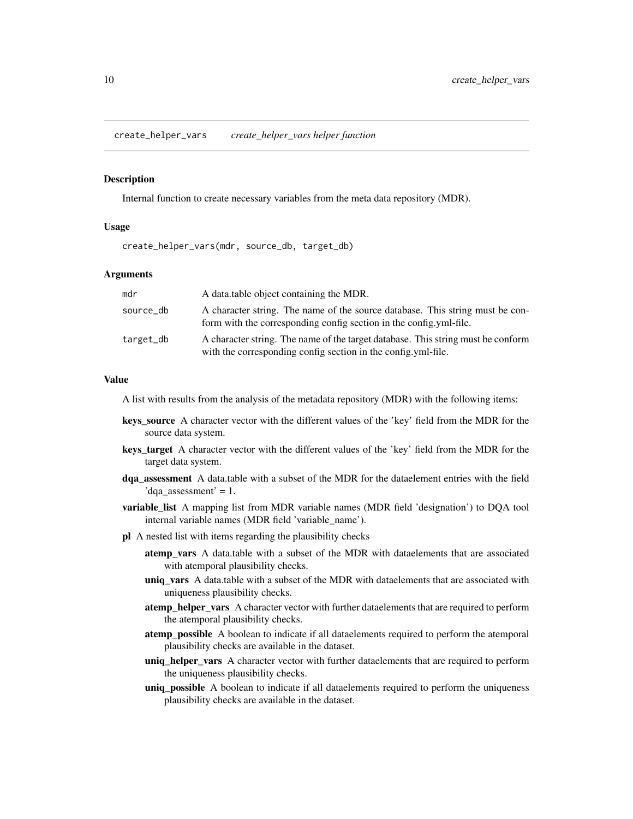<span id="page-9-0"></span>create\_helper\_vars *create\_helper\_vars helper function*

#### Description

Internal function to create necessary variables from the meta data repository (MDR).

# Usage

create\_helper\_vars(mdr, source\_db, target\_db)

#### Arguments

| mdr       | A data table object containing the MDR.                                                                                                             |
|-----------|-----------------------------------------------------------------------------------------------------------------------------------------------------|
| source_db | A character string. The name of the source database. This string must be con-<br>form with the corresponding config section in the config.yml-file. |
| target_db | A character string. The name of the target database. This string must be conform<br>with the corresponding config section in the config.yml-file.   |

#### Value

A list with results from the analysis of the metadata repository (MDR) with the following items:

- keys\_source A character vector with the different values of the 'key' field from the MDR for the source data system.
- keys\_target A character vector with the different values of the 'key' field from the MDR for the target data system.
- dqa\_assessment A data.table with a subset of the MDR for the dataelement entries with the field 'dqa assessment' = 1.
- **variable list** A mapping list from MDR variable names (MDR field 'designation') to DQA tool internal variable names (MDR field 'variable\_name').
- pl A nested list with items regarding the plausibility checks
	- atemp vars A data.table with a subset of the MDR with dataelements that are associated with atemporal plausibility checks.
	- uniq\_vars A data.table with a subset of the MDR with dataelements that are associated with uniqueness plausibility checks.
	- atemp\_helper\_vars A character vector with further dataelements that are required to perform the atemporal plausibility checks.
	- atemp\_possible A boolean to indicate if all dataelements required to perform the atemporal plausibility checks are available in the dataset.
	- uniq\_helper\_vars A character vector with further dataelements that are required to perform the uniqueness plausibility checks.
	- uniq\_possible A boolean to indicate if all dataelements required to perform the uniqueness plausibility checks are available in the dataset.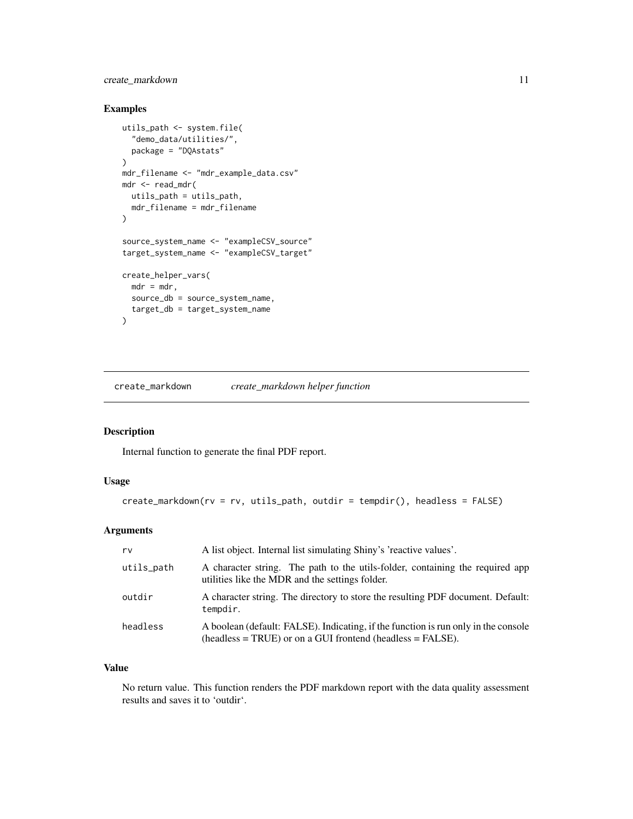# <span id="page-10-0"></span>create\_markdown 11

# Examples

```
utils_path <- system.file(
  "demo_data/utilities/",
  package = "DQAstats"
\lambdamdr_filename <- "mdr_example_data.csv"
mdr <- read_mdr(
 utils_path = utils_path,
 mdr_filename = mdr_filename
)
source_system_name <- "exampleCSV_source"
target_system_name <- "exampleCSV_target"
create_helper_vars(
 mdr = mdr,
 source_db = source_system_name,
  target_db = target_system_name
\lambda
```
create\_markdown *create\_markdown helper function*

# Description

Internal function to generate the final PDF report.

# Usage

```
create_matrixdown(rv = rv, utilise\_path, outdir = tempdir(), heads = FALSE)
```
# Arguments

| rv         | A list object. Internal list simulating Shiny's 'reactive values'.                                                                              |
|------------|-------------------------------------------------------------------------------------------------------------------------------------------------|
| utils_path | A character string. The path to the utils-folder, containing the required app<br>utilities like the MDR and the settings folder.                |
| outdir     | A character string. The directory to store the resulting PDF document. Default:<br>tempdir.                                                     |
| headless   | A boolean (default: FALSE). Indicating, if the function is run only in the console<br>$(heads = TRUE)$ or on a GUI frontend $(heads = FALSE)$ . |

# Value

No return value. This function renders the PDF markdown report with the data quality assessment results and saves it to 'outdir'.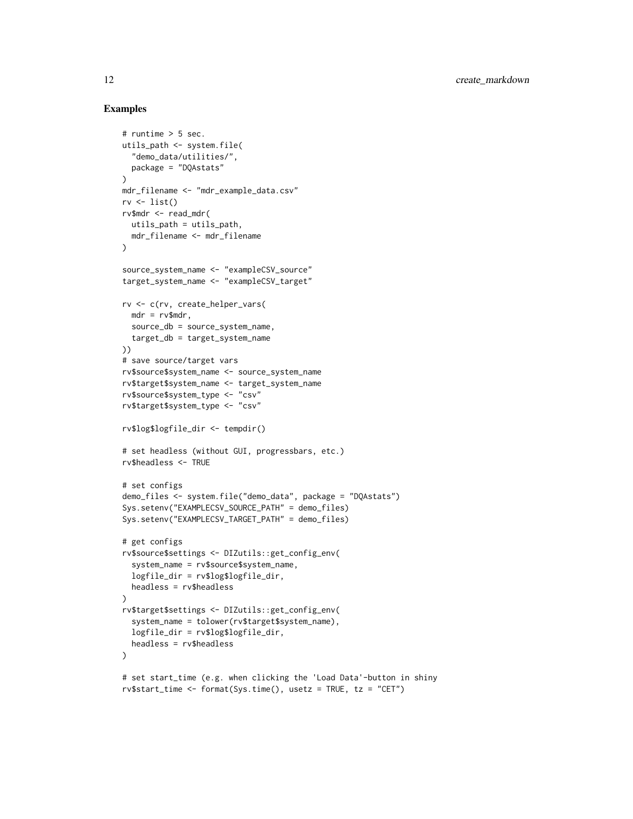```
# runtime > 5 sec.
utils_path <- system.file(
  "demo_data/utilities/",
  package = "DQAstats"
\lambdamdr_filename <- "mdr_example_data.csv"
rv \leftarrow list()rv$mdr <- read_mdr(
 utils_path = utils_path,
 mdr_filename <- mdr_filename
)
source_system_name <- "exampleCSV_source"
target_system_name <- "exampleCSV_target"
rv <- c(rv, create_helper_vars(
 mdr = rv$mdr,
  source_db = source_system_name,
  target_db = target_system_name
))
# save source/target vars
rv$source$system_name <- source_system_name
rv$target$system_name <- target_system_name
rv$source$system_type <- "csv"
rv$target$system_type <- "csv"
rv$log$logfile_dir <- tempdir()
# set headless (without GUI, progressbars, etc.)
rv$headless <- TRUE
# set configs
demo_files <- system.file("demo_data", package = "DQAstats")
Sys.setenv("EXAMPLECSV_SOURCE_PATH" = demo_files)
Sys.setenv("EXAMPLECSV_TARGET_PATH" = demo_files)
# get configs
rv$source$settings <- DIZutils::get_config_env(
  system_name = rv$source$system_name,
  logfile_dir = rv$log$logfile_dir,
  headless = rv$headless
\lambdarv$target$settings <- DIZutils::get_config_env(
  system_name = tolower(rv$target$system_name),
  logfile_dir = rv$log$logfile_dir,
  headless = rv$headless
)
# set start_time (e.g. when clicking the 'Load Data'-button in shiny
rv$start_time <- format(Sys.time(), usetz = TRUE, tz = "CET")
```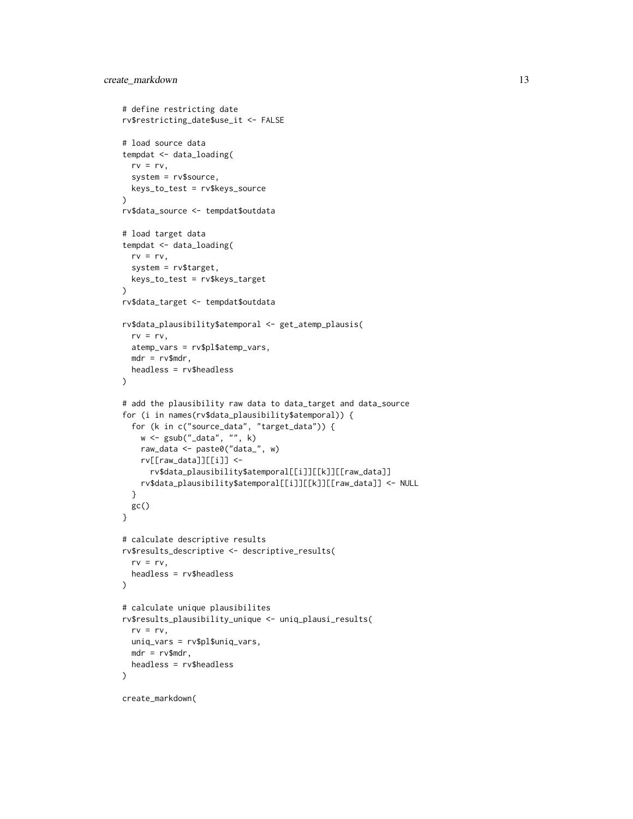```
# define restricting date
rv$restricting_date$use_it <- FALSE
# load source data
tempdat <- data_loading(
 rv = rv,system = rv$source,
  keys_to_test = rv$keys_source
\lambdarv$data_source <- tempdat$outdata
# load target data
tempdat <- data_loading(
  rv = rv,system = rv$target,
 keys_to_test = rv$keys_target
)
rv$data_target <- tempdat$outdata
rv$data_plausibility$atemporal <- get_atemp_plausis(
  rv = rv,atemp_vars = rv$pl$atemp_vars,
 mdr = rv$mdr,
  headless = rv$headless
\lambda# add the plausibility raw data to data_target and data_source
for (i in names(rv$data_plausibility$atemporal)) {
  for (k in c("source_data", "target_data")) {
   w <- gsub("_data", "", k)
   raw_data <- paste0("data_", w)
   rv[[raw_data]][[i]] <-
      rv$data_plausibility$atemporal[[i]][[k]][[raw_data]]
   rv$data_plausibility$atemporal[[i]][[k]][[raw_data]] <- NULL
  }
 gc()
}
# calculate descriptive results
rv$results_descriptive <- descriptive_results(
  rv = rv,headless = rv$headless
\lambda# calculate unique plausibilites
rv$results_plausibility_unique <- uniq_plausi_results(
  rv = rv,uniq_vars = rv$pl$uniq_vars,
 mdr = rv$mdr,
  headless = rv$headless
\mathcal{L}
```

```
create_markdown(
```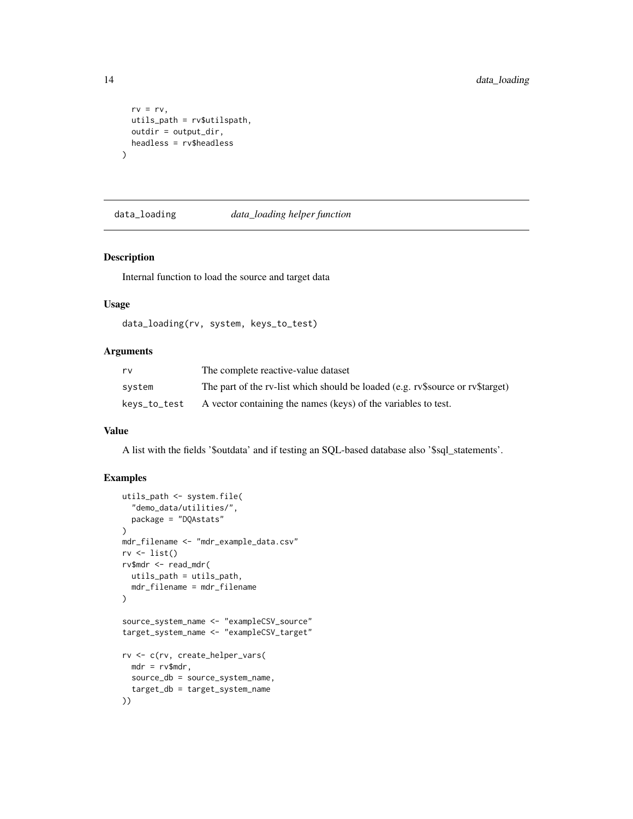```
rv = rv,utils_path = rv$utilspath,
  outdir = output_dir,
  headless = rv$headless
\mathcal{L}
```
data\_loading *data\_loading helper function*

#### Description

Internal function to load the source and target data

#### Usage

```
data_loading(rv, system, keys_to_test)
```
#### Arguments

| rv           | The complete reactive-value dataset                                            |
|--------------|--------------------------------------------------------------------------------|
| svstem       | The part of the rv-list which should be loaded (e.g. rv\$source or rv\$target) |
| keys_to_test | A vector containing the names (keys) of the variables to test.                 |

#### Value

A list with the fields '\$outdata' and if testing an SQL-based database also '\$sql\_statements'.

```
utils_path <- system.file(
  "demo_data/utilities/",
  package = "DQAstats"
)
mdr_filename <- "mdr_example_data.csv"
rv \leftarrow list()rv$mdr <- read_mdr(
  utils_path = utils_path,
  mdr_filename = mdr_filename
\mathcal{L}source_system_name <- "exampleCSV_source"
target_system_name <- "exampleCSV_target"
rv <- c(rv, create_helper_vars(
 mdr = rv$mdr,
  source_db = source_system_name,
  target_db = target_system_name
))
```
<span id="page-13-0"></span>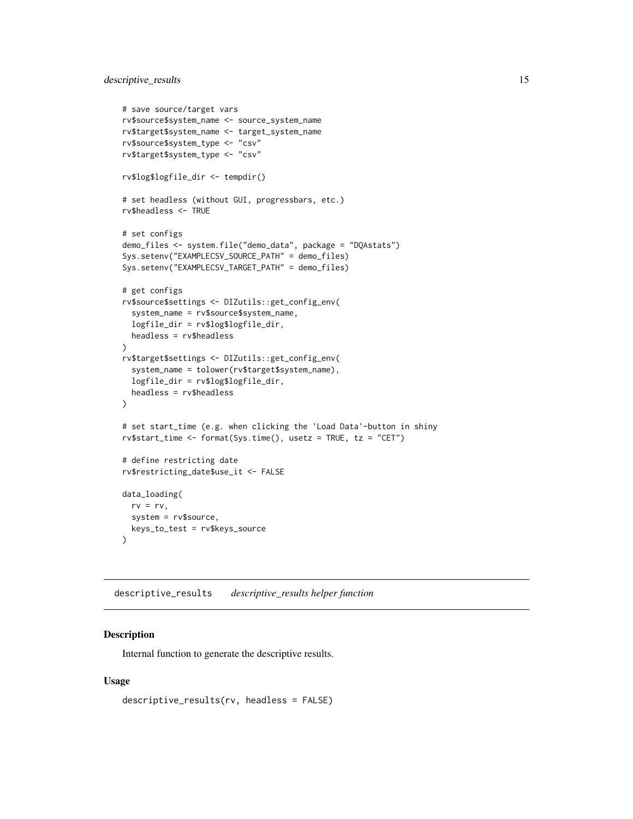# <span id="page-14-0"></span>descriptive\_results 15

```
# save source/target vars
rv$source$system_name <- source_system_name
rv$target$system_name <- target_system_name
rv$source$system_type <- "csv"
rv$target$system_type <- "csv"
rv$log$logfile_dir <- tempdir()
# set headless (without GUI, progressbars, etc.)
rv$headless <- TRUE
# set configs
demo_files <- system.file("demo_data", package = "DQAstats")
Sys.setenv("EXAMPLECSV_SOURCE_PATH" = demo_files)
Sys.setenv("EXAMPLECSV_TARGET_PATH" = demo_files)
# get configs
rv$source$settings <- DIZutils::get_config_env(
 system_name = rv$source$system_name,
 logfile_dir = rv$log$logfile_dir,
 headless = rv$headless
\lambdarv$target$settings <- DIZutils::get_config_env(
 system_name = tolower(rv$target$system_name),
 logfile_dir = rv$log$logfile_dir,
 headless = rv$headless
\lambda# set start_time (e.g. when clicking the 'Load Data'-button in shiny
rv$start_time <- format(Sys.time(), usetz = TRUE, tz = "CET")
# define restricting date
rv$restricting_date$use_it <- FALSE
data_loading(
 rv = rv,system = rv$source,
 keys_to_test = rv$keys_source
)
```
descriptive\_results *descriptive\_results helper function*

#### Description

Internal function to generate the descriptive results.

#### Usage

```
descriptive_results(rv, headless = FALSE)
```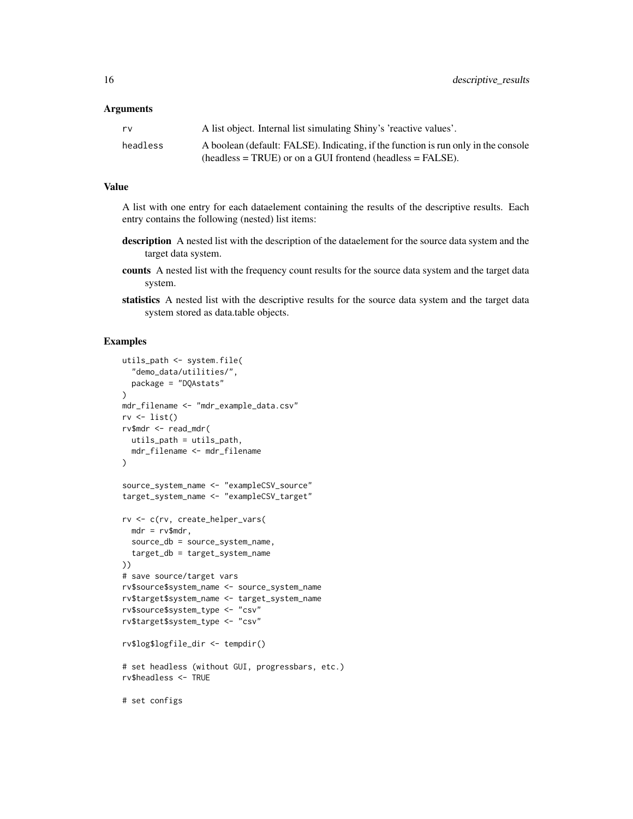#### **Arguments**

| rv       | A list object. Internal list simulating Shiny's 'reactive values'.                 |
|----------|------------------------------------------------------------------------------------|
| headless | A boolean (default: FALSE). Indicating, if the function is run only in the console |
|          | $(headless = TRUE)$ or on a GUI frontend (headless = FALSE).                       |

# Value

A list with one entry for each dataelement containing the results of the descriptive results. Each entry contains the following (nested) list items:

- description A nested list with the description of the dataelement for the source data system and the target data system.
- counts A nested list with the frequency count results for the source data system and the target data system.
- statistics A nested list with the descriptive results for the source data system and the target data system stored as data.table objects.

```
utils_path <- system.file(
  "demo_data/utilities/",
  package = "DQAstats"
\mathcal{L}mdr_filename <- "mdr_example_data.csv"
rv \leftarrow list()rv$mdr <- read_mdr(
 utils_path = utils_path,
  mdr_filename <- mdr_filename
\lambdasource_system_name <- "exampleCSV_source"
target_system_name <- "exampleCSV_target"
rv <- c(rv, create_helper_vars(
 mdr = rv$mdr,
  source_db = source_system_name,
  target_db = target_system_name
))
# save source/target vars
rv$source$system_name <- source_system_name
rv$target$system_name <- target_system_name
rv$source$system_type <- "csv"
rv$target$system_type <- "csv"
rv$log$logfile_dir <- tempdir()
# set headless (without GUI, progressbars, etc.)
rv$headless <- TRUE
# set configs
```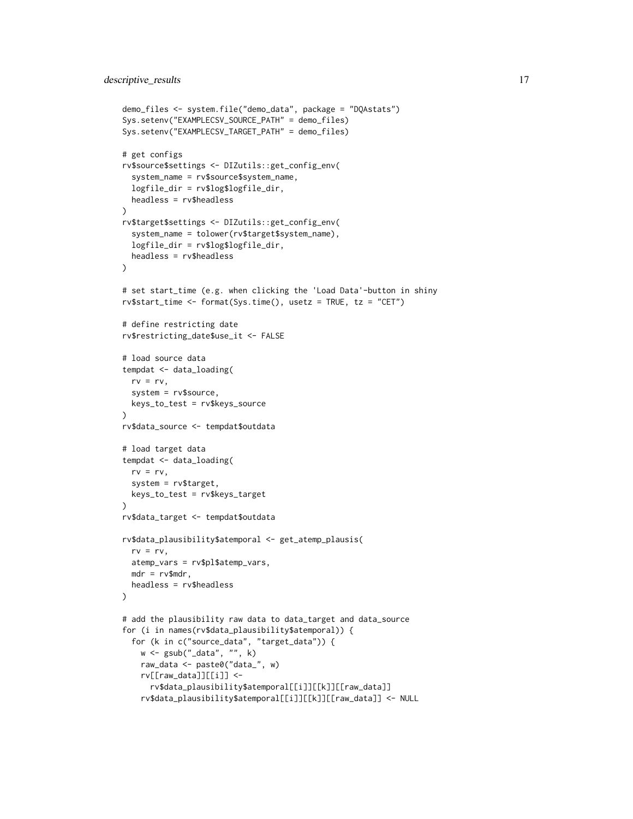```
demo_files <- system.file("demo_data", package = "DQAstats")
Sys.setenv("EXAMPLECSV_SOURCE_PATH" = demo_files)
Sys.setenv("EXAMPLECSV_TARGET_PATH" = demo_files)
# get configs
rv$source$settings <- DIZutils::get_config_env(
  system_name = rv$source$system_name,
  logfile_dir = rv$log$logfile_dir,
  headless = rv$headless
\lambdarv$target$settings <- DIZutils::get_config_env(
  system_name = tolower(rv$target$system_name),
  logfile_dir = rv$log$logfile_dir,
  headless = rv$headless
)
# set start_time (e.g. when clicking the 'Load Data'-button in shiny
rv$start_time <- format(Sys.time(), usetz = TRUE, tz = "CET")
# define restricting date
rv$restricting_date$use_it <- FALSE
# load source data
tempdat <- data_loading(
  rv = rv,system = rv$source,
  keys_to_test = rv$keys_source
)
rv$data_source <- tempdat$outdata
# load target data
tempdat <- data_loading(
 rv = rv,system = rv$target,
  keys_to_test = rv$keys_target
\lambdarv$data_target <- tempdat$outdata
rv$data_plausibility$atemporal <- get_atemp_plausis(
  rv = rv,
  atemp_vars = rv$pl$atemp_vars,
  mdr = rv$mdr,
  headless = rv$headless
)
# add the plausibility raw data to data_target and data_source
for (i in names(rv$data_plausibility$atemporal)) {
  for (k in c("source_data", "target_data")) {
   w <- gsub("_data", "", k)
   raw_data <- paste0("data_", w)
   rv[[raw_data]][[i]] <-
      rv$data_plausibility$atemporal[[i]][[k]][[raw_data]]
    rv$data_plausibility$atemporal[[i]][[k]][[raw_data]] <- NULL
```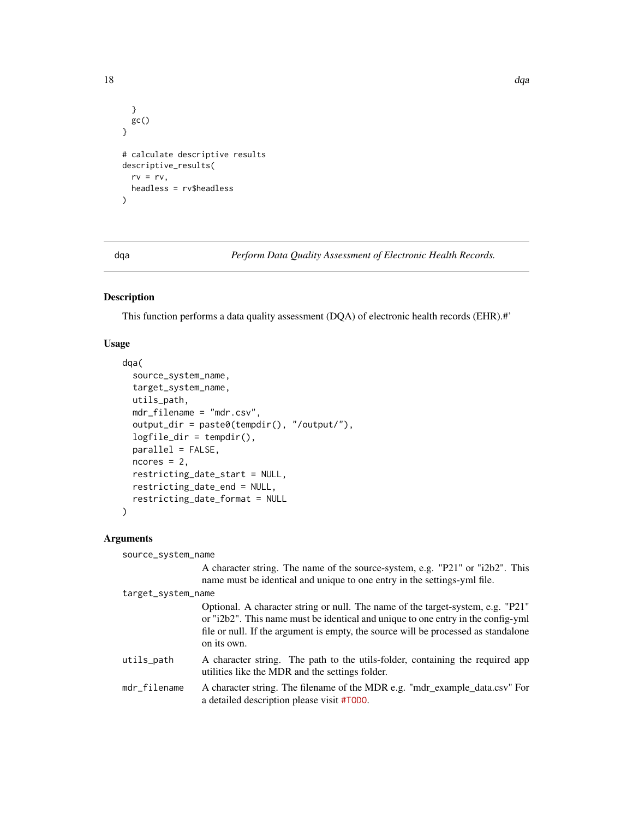```
}
  gc()
}
# calculate descriptive results
descriptive_results(
 rv = rv,headless = rv$headless
\lambda
```
dqa *Perform Data Quality Assessment of Electronic Health Records.*

# Description

This function performs a data quality assessment (DQA) of electronic health records (EHR).#'

# Usage

```
dqa(
  source_system_name,
  target_system_name,
 utils_path,
 mdr_filename = "mdr.csv",
  output_dir = paste0(tempdir(), "/output/"),
  logfile_dir = tempdir(),
 parallel = FALSE,
 ncores = 2,
  restricting_date_start = NULL,
  restricting_date_end = NULL,
  restricting_date_format = NULL
\mathcal{L}
```
#### Arguments

| source_system_name |                                                                                                                                                                                                                                                                          |  |  |  |
|--------------------|--------------------------------------------------------------------------------------------------------------------------------------------------------------------------------------------------------------------------------------------------------------------------|--|--|--|
|                    | A character string. The name of the source-system, e.g. "P21" or "i2b2". This<br>name must be identical and unique to one entry in the settings-yml file.                                                                                                                |  |  |  |
| target_system_name |                                                                                                                                                                                                                                                                          |  |  |  |
|                    | Optional. A character string or null. The name of the target-system, e.g. "P21"<br>or "i2b2". This name must be identical and unique to one entry in the config-yml<br>file or null. If the argument is empty, the source will be processed as standalone<br>on its own. |  |  |  |
| utils_path         | A character string. The path to the utils-folder, containing the required app<br>utilities like the MDR and the settings folder.                                                                                                                                         |  |  |  |
| mdr_filename       | A character string. The filename of the MDR e.g. "mdr_example_data.csv" For<br>a detailed description please visit #T0D0.                                                                                                                                                |  |  |  |

<span id="page-17-0"></span>18 dqa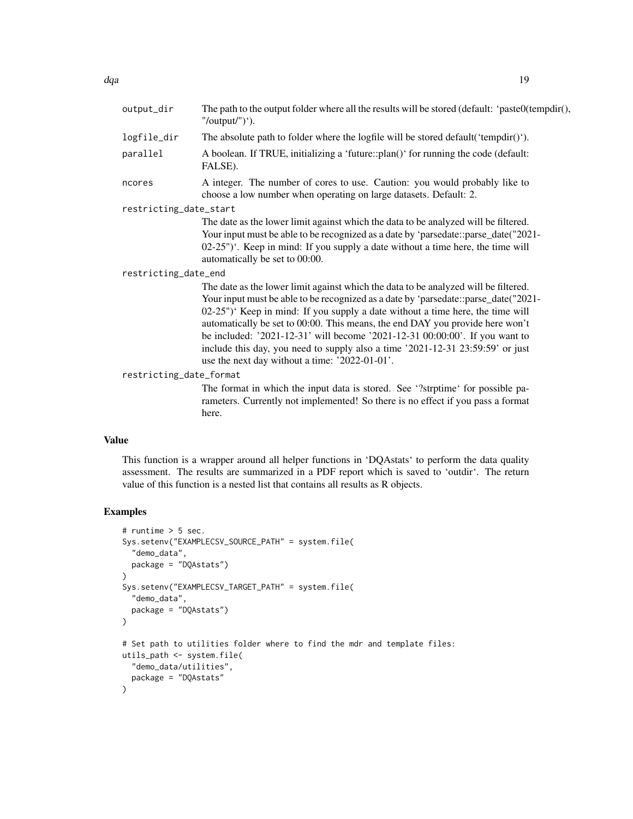ncores A integer. The number of cores to use. Caution: you would probably like to choose a low number when operating on large datasets. Default: 2.

restricting\_date\_start

 $"/output'')'.$ 

FALSE).

The date as the lower limit against which the data to be analyzed will be filtered. Your input must be able to be recognized as a date by 'parsedate::parse\_date("2021-02-25")'. Keep in mind: If you supply a date without a time here, the time will automatically be set to 00:00.

#### restricting\_date\_end

The date as the lower limit against which the data to be analyzed will be filtered. Your input must be able to be recognized as a date by 'parsedate::parse\_date("2021- 02-25")' Keep in mind: If you supply a date without a time here, the time will automatically be set to 00:00. This means, the end DAY you provide here won't be included: '2021-12-31' will become '2021-12-31 00:00:00'. If you want to include this day, you need to supply also a time '2021-12-31 23:59:59' or just use the next day without a time: '2022-01-01'.

restricting\_date\_format

The format in which the input data is stored. See '?strptime' for possible parameters. Currently not implemented! So there is no effect if you pass a format here.

#### Value

This function is a wrapper around all helper functions in 'DQAstats' to perform the data quality assessment. The results are summarized in a PDF report which is saved to 'outdir'. The return value of this function is a nested list that contains all results as R objects.

```
# runtime > 5 sec.
Sys.setenv("EXAMPLECSV_SOURCE_PATH" = system.file(
  "demo_data",
 package = "DQAstats")
)
Sys.setenv("EXAMPLECSV_TARGET_PATH" = system.file(
  "demo_data",
 package = "DQAstats")
\lambda# Set path to utilities folder where to find the mdr and template files:
utils_path <- system.file(
  "demo_data/utilities",
 package = "DQAstats"
\lambda
```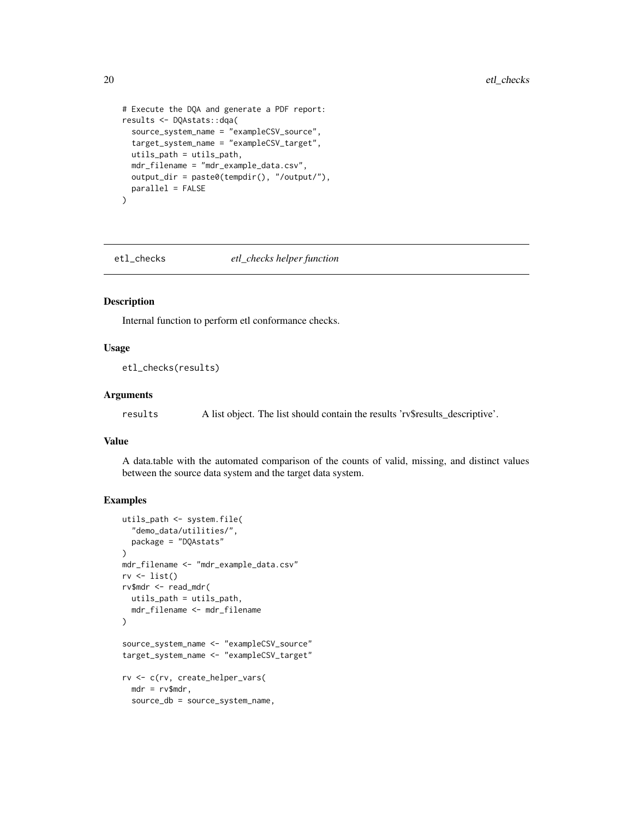```
# Execute the DQA and generate a PDF report:
results <- DQAstats::dqa(
  source_system_name = "exampleCSV_source",
  target_system_name = "exampleCSV_target",
  utils_path = utils_path,
  mdr_filename = "mdr_example_data.csv",
  output_dir = paste0(tempdir(), "/output/"),
  parallel = FALSE
\lambda
```
etl\_checks *etl\_checks helper function*

#### Description

Internal function to perform etl conformance checks.

#### Usage

etl\_checks(results)

#### Arguments

results A list object. The list should contain the results 'rv\$results\_descriptive'.

#### Value

A data.table with the automated comparison of the counts of valid, missing, and distinct values between the source data system and the target data system.

```
utils_path <- system.file(
  "demo_data/utilities/",
  package = "DQAstats"
)
mdr_filename <- "mdr_example_data.csv"
rv \leftarrow list()rv$mdr <- read_mdr(
  utils_path = utils_path,
  mdr_filename <- mdr_filename
)
source_system_name <- "exampleCSV_source"
target_system_name <- "exampleCSV_target"
rv <- c(rv, create_helper_vars(
  mdr = rv$mdr,
  source_db = source_system_name,
```
<span id="page-19-0"></span>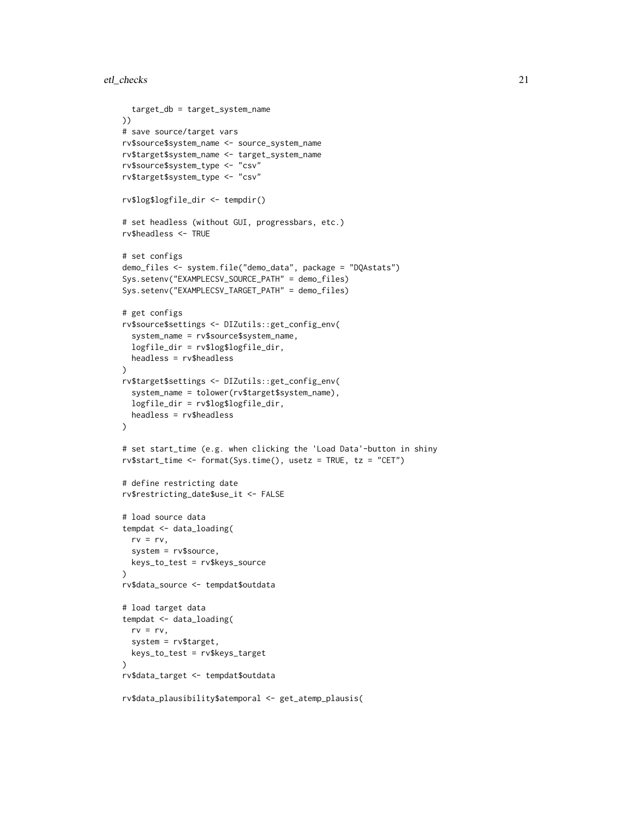```
target_db = target_system_name
))
# save source/target vars
rv$source$system_name <- source_system_name
rv$target$system_name <- target_system_name
rv$source$system_type <- "csv"
rv$target$system_type <- "csv"
rv$log$logfile_dir <- tempdir()
# set headless (without GUI, progressbars, etc.)
rv$headless <- TRUE
# set configs
demo_files <- system.file("demo_data", package = "DQAstats")
Sys.setenv("EXAMPLECSV_SOURCE_PATH" = demo_files)
Sys.setenv("EXAMPLECSV_TARGET_PATH" = demo_files)
# get configs
rv$source$settings <- DIZutils::get_config_env(
  system_name = rv$source$system_name,
  logfile_dir = rv$log$logfile_dir,
  headless = rv$headless
)
rv$target$settings <- DIZutils::get_config_env(
  system_name = tolower(rv$target$system_name),
  logfile_dir = rv$log$logfile_dir,
  headless = rv$headless
)
# set start_time (e.g. when clicking the 'Load Data'-button in shiny
rv$start_time <- format(Sys.time(), usetz = TRUE, tz = "CET")
# define restricting date
rv$restricting_date$use_it <- FALSE
# load source data
tempdat <- data_loading(
  rv = rv,system = rv$source,
  keys_to_test = rv$keys_source
)
rv$data_source <- tempdat$outdata
# load target data
tempdat <- data_loading(
  rv = rv,system = rv$target,
  keys_to_test = rv$keys_target
\lambdarv$data_target <- tempdat$outdata
rv$data_plausibility$atemporal <- get_atemp_plausis(
```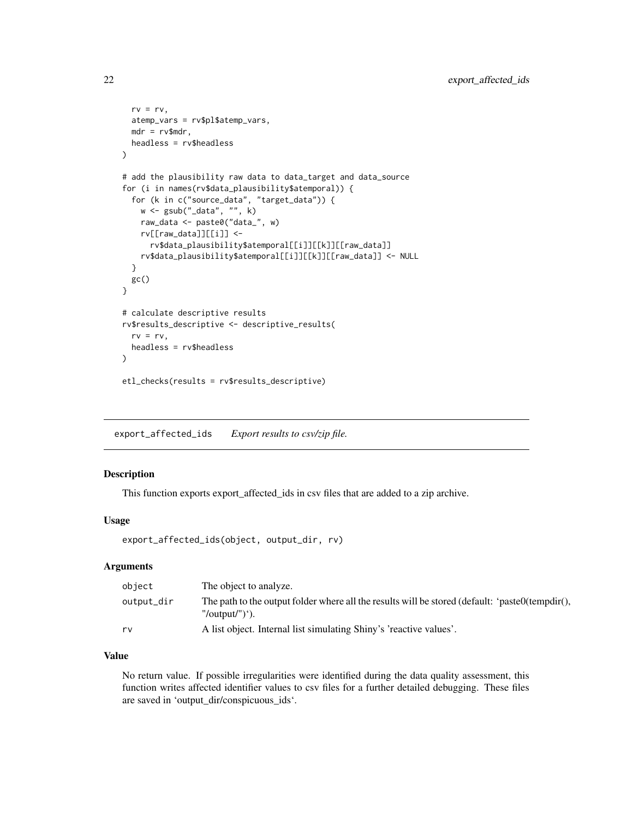```
rv = rv,atemp_vars = rv$pl$atemp_vars,
 mdr = rv$mdr,
 headless = rv$headless
)
# add the plausibility raw data to data_target and data_source
for (i in names(rv$data_plausibility$atemporal)) {
 for (k in c("source_data", "target_data")) {
   w <- gsub("_data", "", k)
   raw_data <- paste0("data_", w)
   rv[[raw_data]][[i]] <-
      rv$data_plausibility$atemporal[[i]][[k]][[raw_data]]
    rv$data_plausibility$atemporal[[i]][[k]][[raw_data]] <- NULL
 }
 gc()
}
# calculate descriptive results
rv$results_descriptive <- descriptive_results(
 rv = rv,headless = rv$headless
\mathcal{L}etl_checks(results = rv$results_descriptive)
```
export\_affected\_ids *Export results to csv/zip file.*

#### Description

This function exports export\_affected\_ids in csv files that are added to a zip archive.

#### Usage

```
export_affected_ids(object, output_dir, rv)
```
### Arguments

| object     | The object to analyze.                                                                                                |
|------------|-----------------------------------------------------------------------------------------------------------------------|
| output_dir | The path to the output folder where all the results will be stored (default: 'paste0(tempdir(),<br>"/output/" $)$ '). |
| rv         | A list object. Internal list simulating Shiny's 'reactive values'.                                                    |

# Value

No return value. If possible irregularities were identified during the data quality assessment, this function writes affected identifier values to csv files for a further detailed debugging. These files are saved in 'output\_dir/conspicuous\_ids'.

<span id="page-21-0"></span>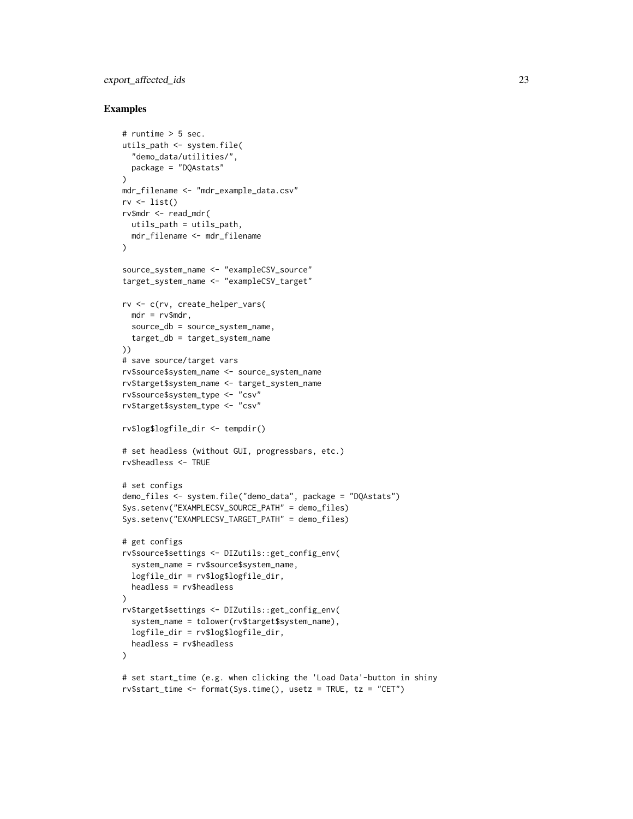# export\_affected\_ids 23

```
# runtime > 5 sec.
utils_path <- system.file(
  "demo_data/utilities/",
  package = "DQAstats"
\lambdamdr_filename <- "mdr_example_data.csv"
rv \leftarrow list()rv$mdr <- read_mdr(
 utils_path = utils_path,
 mdr_filename <- mdr_filename
)
source_system_name <- "exampleCSV_source"
target_system_name <- "exampleCSV_target"
rv <- c(rv, create_helper_vars(
 mdr = rv$mdr,
  source_db = source_system_name,
  target_db = target_system_name
))
# save source/target vars
rv$source$system_name <- source_system_name
rv$target$system_name <- target_system_name
rv$source$system_type <- "csv"
rv$target$system_type <- "csv"
rv$log$logfile_dir <- tempdir()
# set headless (without GUI, progressbars, etc.)
rv$headless <- TRUE
# set configs
demo_files <- system.file("demo_data", package = "DQAstats")
Sys.setenv("EXAMPLECSV_SOURCE_PATH" = demo_files)
Sys.setenv("EXAMPLECSV_TARGET_PATH" = demo_files)
# get configs
rv$source$settings <- DIZutils::get_config_env(
  system_name = rv$source$system_name,
  logfile_dir = rv$log$logfile_dir,
  headless = rv$headless
\mathcal{L}rv$target$settings <- DIZutils::get_config_env(
  system_name = tolower(rv$target$system_name),
  logfile_dir = rv$log$logfile_dir,
  headless = rv$headless
)
# set start_time (e.g. when clicking the 'Load Data'-button in shiny
rv$start_time <- format(Sys.time(), usetz = TRUE, tz = "CET")
```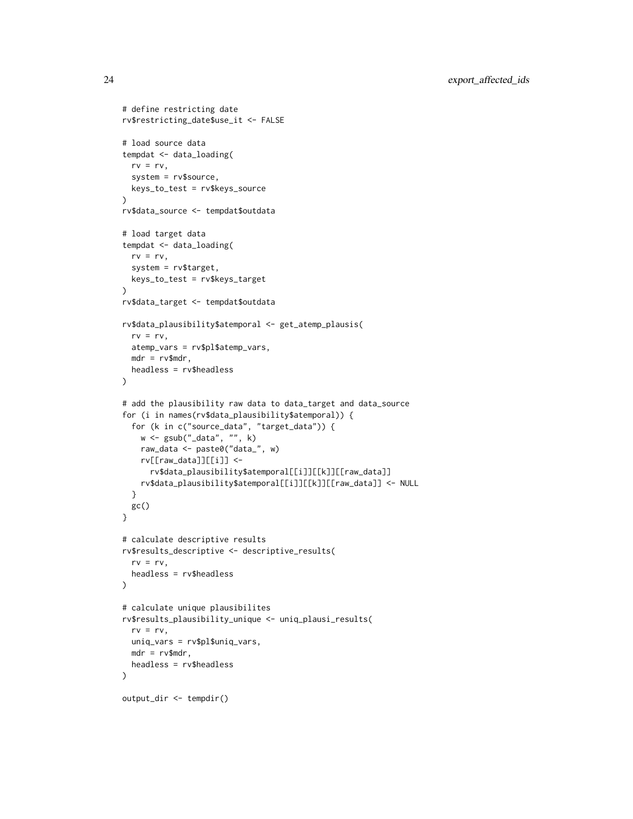```
# define restricting date
rv$restricting_date$use_it <- FALSE
# load source data
tempdat <- data_loading(
 rv = rv,system = rv$source,
 keys_to_test = rv$keys_source
\lambdarv$data_source <- tempdat$outdata
# load target data
tempdat <- data_loading(
  rv = rv,system = rv$target,
 keys_to_test = rv$keys_target
)
rv$data_target <- tempdat$outdata
rv$data_plausibility$atemporal <- get_atemp_plausis(
  rv = rv,atemp_vars = rv$pl$atemp_vars,
 mdr = rv$mdr,
  headless = rv$headless
\lambda# add the plausibility raw data to data_target and data_source
for (i in names(rv$data_plausibility$atemporal)) {
  for (k in c("source_data", "target_data")) {
   w <- gsub("_data", "", k)
   raw_data <- paste0("data_", w)
   rv[[raw_data]][[i]] <-
      rv$data_plausibility$atemporal[[i]][[k]][[raw_data]]
   rv$data_plausibility$atemporal[[i]][[k]][[raw_data]] <- NULL
  }
 gc()
}
# calculate descriptive results
rv$results_descriptive <- descriptive_results(
  rv = rv,headless = rv$headless
\lambda# calculate unique plausibilites
rv$results_plausibility_unique <- uniq_plausi_results(
  rv = rv,uniq_vars = rv$pl$uniq_vars,
 mdr = rv$mdr,
  headless = rv$headless
\mathcal{L}output_dir <- tempdir()
```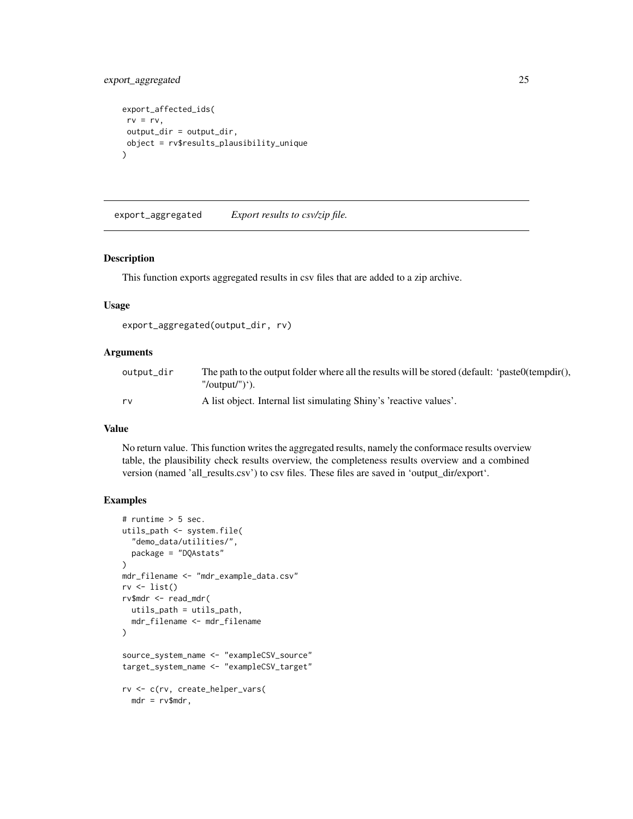# <span id="page-24-0"></span>export\_aggregated 25

```
export_affected_ids(
rv = rv,output_dir = output_dir,
object = rv$results_plausibility_unique
\mathcal{L}
```
export\_aggregated *Export results to csv/zip file.*

# Description

This function exports aggregated results in csv files that are added to a zip archive.

#### Usage

```
export_aggregated(output_dir, rv)
```
# Arguments

| output_dir | The path to the output folder where all the results will be stored (default: 'paste0(tempdir(),<br>"/output/")'). |
|------------|-------------------------------------------------------------------------------------------------------------------|
| rv         | A list object. Internal list simulating Shiny's 'reactive values'.                                                |

#### Value

No return value. This function writes the aggregated results, namely the conformace results overview table, the plausibility check results overview, the completeness results overview and a combined version (named 'all\_results.csv') to csv files. These files are saved in 'output\_dir/export'.

```
# runtime > 5 sec.
utils_path <- system.file(
  "demo_data/utilities/",
  package = "DQAstats"
)
mdr_filename <- "mdr_example_data.csv"
rv \leftarrow list()rv$mdr <- read_mdr(
  utils_path = utils_path,
  mdr_filename <- mdr_filename
\mathcal{L}source_system_name <- "exampleCSV_source"
target_system_name <- "exampleCSV_target"
rv <- c(rv, create_helper_vars(
  mdr = rv$mdr,
```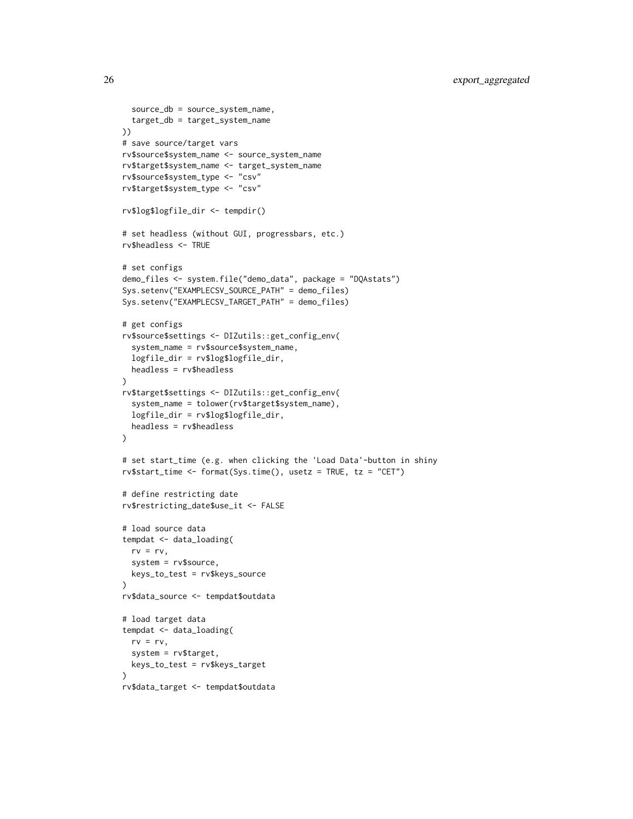```
source_db = source_system_name,
  target_db = target_system_name
))
# save source/target vars
rv$source$system_name <- source_system_name
rv$target$system_name <- target_system_name
rv$source$system_type <- "csv"
rv$target$system_type <- "csv"
rv$log$logfile_dir <- tempdir()
# set headless (without GUI, progressbars, etc.)
rv$headless <- TRUE
# set configs
demo_files <- system.file("demo_data", package = "DQAstats")
Sys.setenv("EXAMPLECSV_SOURCE_PATH" = demo_files)
Sys.setenv("EXAMPLECSV_TARGET_PATH" = demo_files)
# get configs
rv$source$settings <- DIZutils::get_config_env(
  system_name = rv$source$system_name,
  logfile_dir = rv$log$logfile_dir,
  headless = rv$headless
\lambdarv$target$settings <- DIZutils::get_config_env(
  system_name = tolower(rv$target$system_name),
  logfile_dir = rv$log$logfile_dir,
  headless = rv$headless
)
# set start_time (e.g. when clicking the 'Load Data'-button in shiny
rv$start_time <- format(Sys.time(), usetz = TRUE, tz = "CET")
# define restricting date
rv$restricting_date$use_it <- FALSE
# load source data
tempdat <- data_loading(
  rv = rv,system = rv$source,
  keys_to_test = rv$keys_source
)
rv$data_source <- tempdat$outdata
# load target data
tempdat <- data_loading(
  rv = rv,system = rv$target,
  keys_to_test = rv$keys_target
\lambdarv$data_target <- tempdat$outdata
```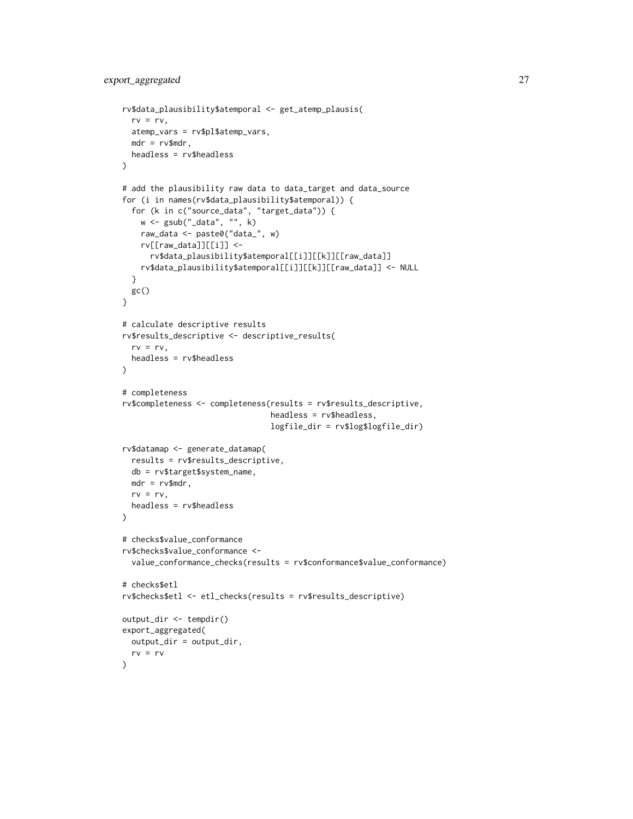```
rv$data_plausibility$atemporal <- get_atemp_plausis(
  rv = rv,atemp_vars = rv$pl$atemp_vars,
 mdr = rv$mdr,
  headless = rv$headless
\lambda# add the plausibility raw data to data_target and data_source
for (i in names(rv$data_plausibility$atemporal)) {
  for (k in c("source_data", "target_data")) {
   w <- gsub("_data", "", k)
   raw_data <- paste0("data_", w)
   rv[[raw_data]][[i]] <-
      rv$data_plausibility$atemporal[[i]][[k]][[raw_data]]
   rv$data_plausibility$atemporal[[i]][[k]][[raw_data]] <- NULL
  }
 gc()
}
# calculate descriptive results
rv$results_descriptive <- descriptive_results(
  rv = rv,
 headless = rv$headless
\mathcal{L}# completeness
rv$completeness <- completeness(results = rv$results_descriptive,
                                 headless = rv$headless,
                                 logfile_dir = rv$log$logfile_dir)
rv$datamap <- generate_datamap(
  results = rv$results_descriptive,
  db = rv$target$system_name,
 mdr = rv$mdr,
  rv = rv,headless = rv$headless
\lambda# checks$value_conformance
rv$checks$value_conformance <-
  value_conformance_checks(results = rv$conformance$value_conformance)
# checks$etl
rv$checks$etl <- etl_checks(results = rv$results_descriptive)
output_dir <- tempdir()
export_aggregated(
 output_dir = output_dir,
 rv = rv\lambda
```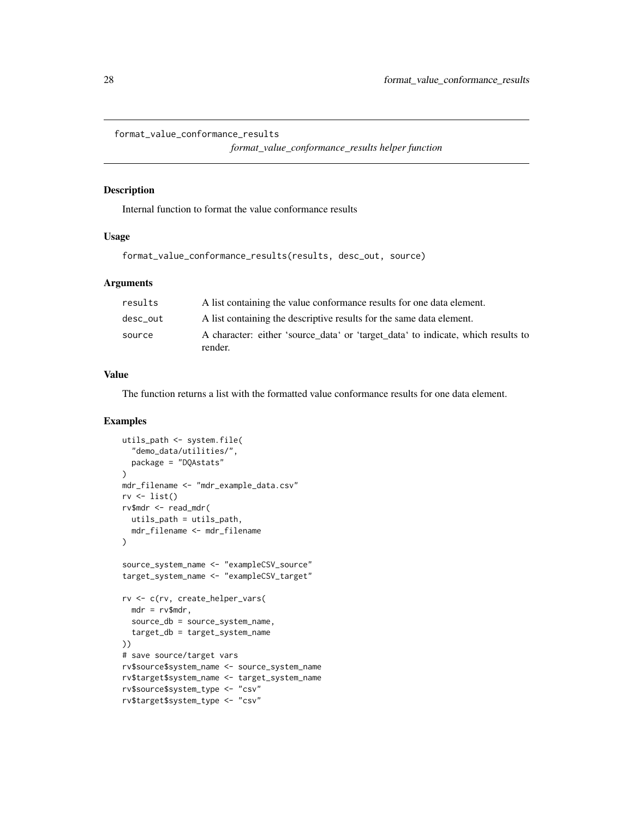<span id="page-27-0"></span>format\_value\_conformance\_results

*format\_value\_conformance\_results helper function*

### Description

Internal function to format the value conformance results

#### Usage

```
format_value_conformance_results(results, desc_out, source)
```
#### Arguments

| results  | A list containing the value conformance results for one data element.                       |  |
|----------|---------------------------------------------------------------------------------------------|--|
| desc out | A list containing the descriptive results for the same data element.                        |  |
| source   | A character: either 'source_data' or 'target_data' to indicate, which results to<br>render. |  |

# Value

The function returns a list with the formatted value conformance results for one data element.

```
utils_path <- system.file(
  "demo_data/utilities/",
  package = "DQAstats"
)
mdr_filename <- "mdr_example_data.csv"
rv \leftarrow list()rv$mdr <- read_mdr(
  utils_path = utils_path,
  mdr_filename <- mdr_filename
)
source_system_name <- "exampleCSV_source"
target_system_name <- "exampleCSV_target"
rv <- c(rv, create_helper_vars(
 mdr = rv$mdr,
  source_db = source_system_name,
  target_db = target_system_name
))
# save source/target vars
rv$source$system_name <- source_system_name
rv$target$system_name <- target_system_name
rv$source$system_type <- "csv"
rv$target$system_type <- "csv"
```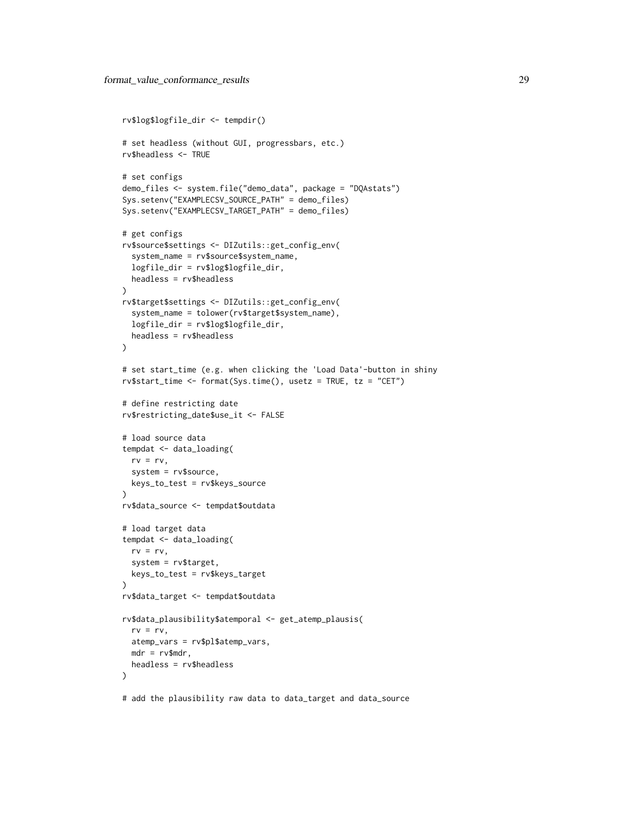```
rv$log$logfile_dir <- tempdir()
# set headless (without GUI, progressbars, etc.)
rv$headless <- TRUE
# set configs
demo_files <- system.file("demo_data", package = "DQAstats")
Sys.setenv("EXAMPLECSV_SOURCE_PATH" = demo_files)
Sys.setenv("EXAMPLECSV_TARGET_PATH" = demo_files)
# get configs
rv$source$settings <- DIZutils::get_config_env(
  system_name = rv$source$system_name,
  logfile_dir = rv$log$logfile_dir,
 headless = rv$headless
)
rv$target$settings <- DIZutils::get_config_env(
  system_name = tolower(rv$target$system_name),
  logfile_dir = rv$log$logfile_dir,
 headless = rv$headless
\lambda# set start_time (e.g. when clicking the 'Load Data'-button in shiny
rv$start_time <- format(Sys.time(), usetz = TRUE, tz = "CET")
# define restricting date
rv$restricting_date$use_it <- FALSE
# load source data
tempdat <- data_loading(
 rv = rv,system = rv$source,
  keys_to_test = rv$keys_source
\mathcal{L}rv$data_source <- tempdat$outdata
# load target data
tempdat <- data_loading(
  rv = rv,system = rv$target,
  keys_to_test = rv$keys_target
)
rv$data_target <- tempdat$outdata
rv$data_plausibility$atemporal <- get_atemp_plausis(
  rv = rv,atemp_vars = rv$pl$atemp_vars,
 mdr = rv$mdr,
  headless = rv$headless
)
```
# add the plausibility raw data to data\_target and data\_source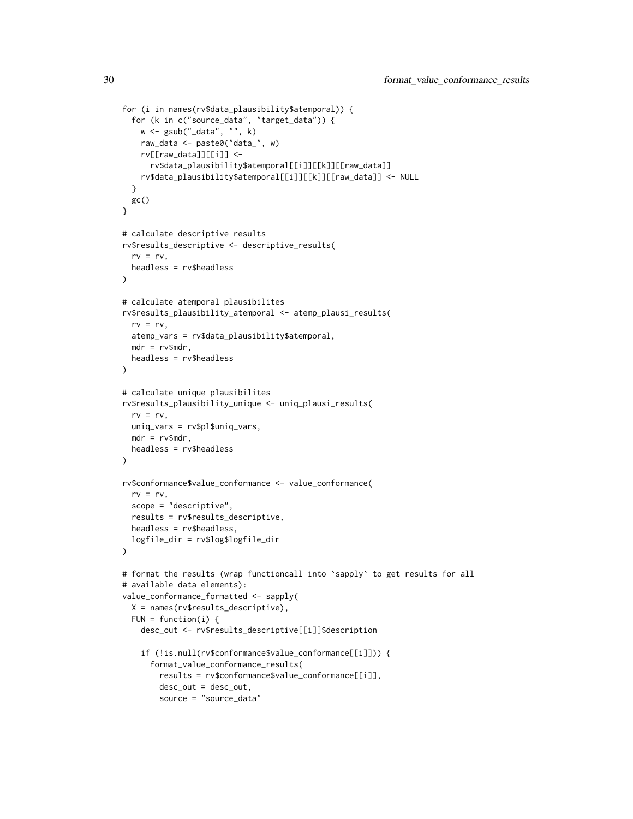```
for (i in names(rv$data_plausibility$atemporal)) {
  for (k in c("source_data", "target_data")) {
    w <- gsub("_data", "", k)
   raw_data <- paste0("data_", w)
   rv[[raw_data]][[i]] <-
      rv$data_plausibility$atemporal[[i]][[k]][[raw_data]]
    rv$data_plausibility$atemporal[[i]][[k]][[raw_data]] <- NULL
  }
 gc()
}
# calculate descriptive results
rv$results_descriptive <- descriptive_results(
  rv = rv,
 headless = rv$headless
)
# calculate atemporal plausibilites
rv$results_plausibility_atemporal <- atemp_plausi_results(
  rv = rv,atemp_vars = rv$data_plausibility$atemporal,
  mdr = rv$mdr,
  headless = rv$headless
\mathcal{L}# calculate unique plausibilites
rv$results_plausibility_unique <- uniq_plausi_results(
  rv = rv,uniq_vars = rv$pl$uniq_vars,
  mdr = rv$mdr,
  headless = rv$headless
)
rv$conformance$value_conformance <- value_conformance(
  rv = rv,scope = "descriptive",
  results = rv$results_descriptive,
  headless = rv$headless,
  logfile_dir = rv$log$logfile_dir
)
# format the results (wrap functioncall into `sapply` to get results for all
# available data elements):
value_conformance_formatted <- sapply(
  X = names(rv$results_descriptive),
  FUN = function(i) {
    desc_out <- rv$results_descriptive[[i]]$description
    if (!is.null(rv$conformance$value_conformance[[i]])) {
      format_value_conformance_results(
        results = rv$conformance$value_conformance[[i]],
        desc_out = desc_out,
        source = "source_data"
```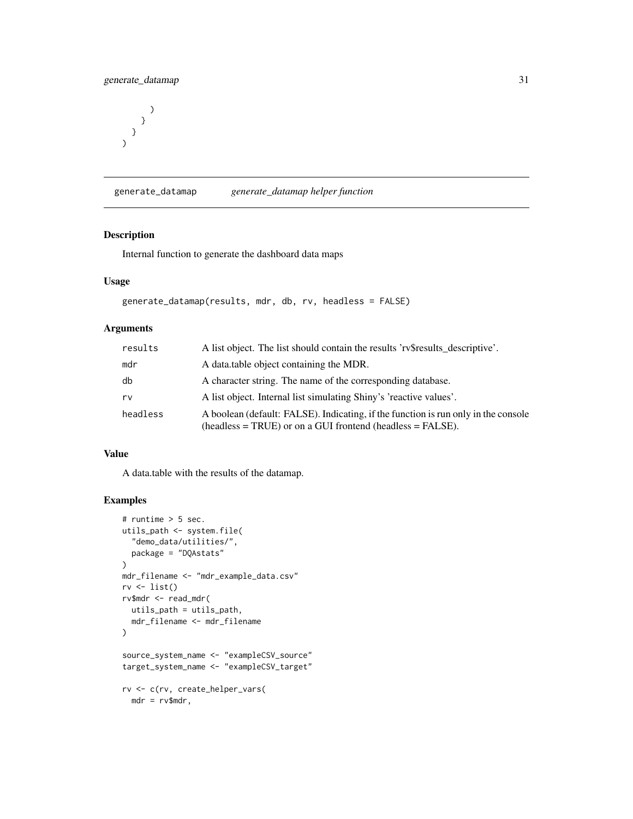```
)
         }
   }
\overline{)}
```
generate\_datamap *generate\_datamap helper function*

#### Description

Internal function to generate the dashboard data maps

#### Usage

```
generate_datamap(results, mdr, db, rv, headless = FALSE)
```
#### Arguments

| results  | A list object. The list should contain the results 'rv\$results descriptive'.                                                                      |
|----------|----------------------------------------------------------------------------------------------------------------------------------------------------|
| mdr      | A data table object containing the MDR.                                                                                                            |
| db       | A character string. The name of the corresponding database.                                                                                        |
| rv       | A list object. Internal list simulating Shiny's 'reactive values'.                                                                                 |
| headless | A boolean (default: FALSE). Indicating, if the function is run only in the console<br>$(headless = TRUE)$ or on a GUI frontend (headless = FALSE). |

#### Value

A data.table with the results of the datamap.

```
# runtime > 5 sec.
utils_path <- system.file(
  "demo_data/utilities/",
  package = "DQAstats"
)
mdr_filename <- "mdr_example_data.csv"
rv \leftarrow list()rv$mdr <- read_mdr(
 utils_path = utils_path,
  mdr_filename <- mdr_filename
\mathcal{L}source_system_name <- "exampleCSV_source"
target_system_name <- "exampleCSV_target"
rv <- c(rv, create_helper_vars(
 mdr = rv$mdr,
```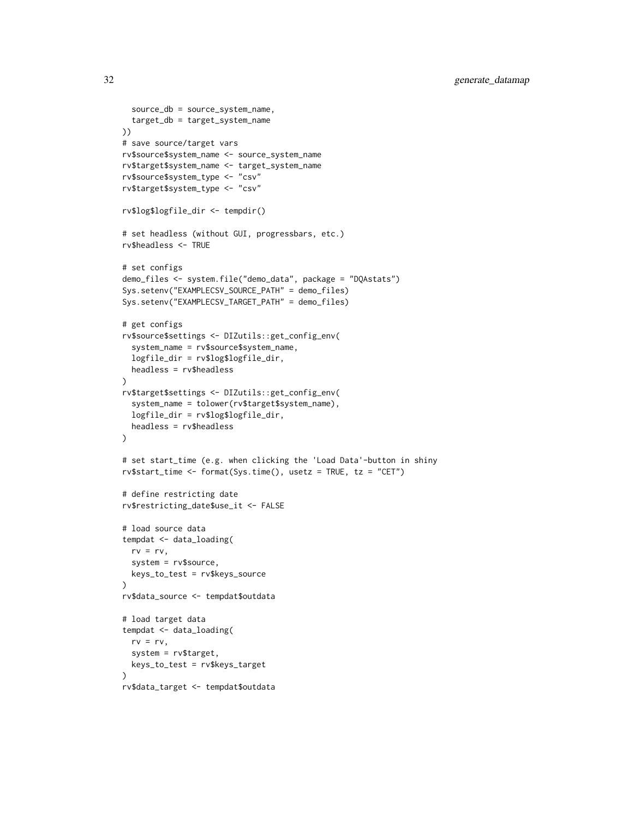```
source_db = source_system_name,
  target_db = target_system_name
))
# save source/target vars
rv$source$system_name <- source_system_name
rv$target$system_name <- target_system_name
rv$source$system_type <- "csv"
rv$target$system_type <- "csv"
rv$log$logfile_dir <- tempdir()
# set headless (without GUI, progressbars, etc.)
rv$headless <- TRUE
# set configs
demo_files <- system.file("demo_data", package = "DQAstats")
Sys.setenv("EXAMPLECSV_SOURCE_PATH" = demo_files)
Sys.setenv("EXAMPLECSV_TARGET_PATH" = demo_files)
# get configs
rv$source$settings <- DIZutils::get_config_env(
  system_name = rv$source$system_name,
  logfile_dir = rv$log$logfile_dir,
  headless = rv$headless
\lambdarv$target$settings <- DIZutils::get_config_env(
  system_name = tolower(rv$target$system_name),
  logfile_dir = rv$log$logfile_dir,
  headless = rv$headless
)
# set start_time (e.g. when clicking the 'Load Data'-button in shiny
rv$start_time <- format(Sys.time(), usetz = TRUE, tz = "CET")
# define restricting date
rv$restricting_date$use_it <- FALSE
# load source data
tempdat <- data_loading(
  rv = rv,system = rv$source,
  keys_to_test = rv$keys_source
)
rv$data_source <- tempdat$outdata
# load target data
tempdat <- data_loading(
  rv = rv,system = rv$target,
  keys_to_test = rv$keys_target
\lambdarv$data_target <- tempdat$outdata
```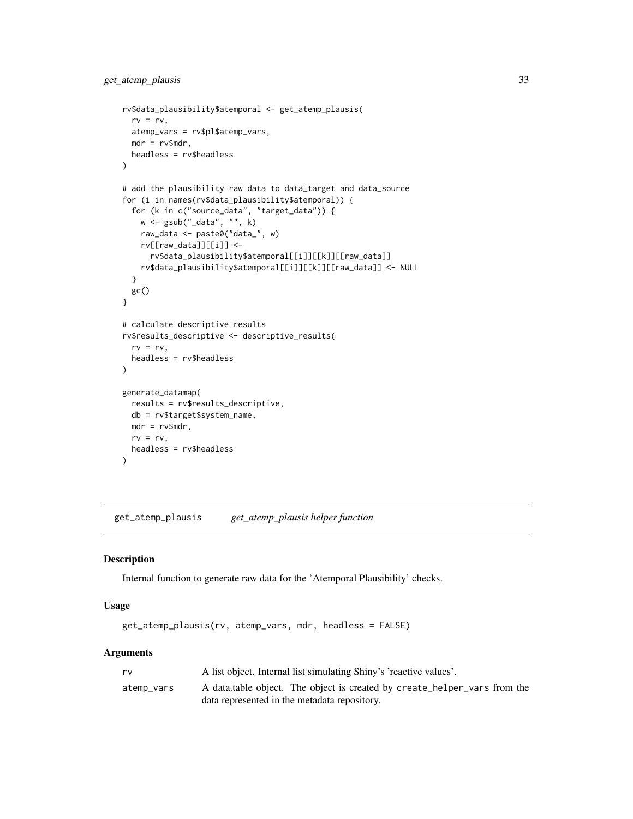```
rv$data_plausibility$atemporal <- get_atemp_plausis(
  rv = rv,atemp_vars = rv$pl$atemp_vars,
 mdr = rv$mdr,
  headless = rv$headless
\lambda# add the plausibility raw data to data_target and data_source
for (i in names(rv$data_plausibility$atemporal)) {
  for (k in c("source_data", "target_data")) {
   w <- gsub("_data", "", k)
   raw_data <- paste0("data_", w)
   rv[[raw_data]][[i]] <-
      rv$data_plausibility$atemporal[[i]][[k]][[raw_data]]
   rv$data_plausibility$atemporal[[i]][[k]][[raw_data]] <- NULL
  }
 gc()
}
# calculate descriptive results
rv$results_descriptive <- descriptive_results(
  rv = rv,
 headless = rv$headless
\mathcal{L}generate_datamap(
  results = rv$results_descriptive,
  db = rv$target$system_name,
 mdr = rv$mdr,
  rv = rv,headless = rv$headless
)
```
get\_atemp\_plausis *get\_atemp\_plausis helper function*

#### Description

Internal function to generate raw data for the 'Atemporal Plausibility' checks.

#### Usage

```
get_atemp_plausis(rv, atemp_vars, mdr, headless = FALSE)
```
#### Arguments

| rv         | A list object. Internal list simulating Shiny's 'reactive values'.        |
|------------|---------------------------------------------------------------------------|
| atemp_vars | A data table object. The object is created by create_helper_vars from the |
|            | data represented in the metadata repository.                              |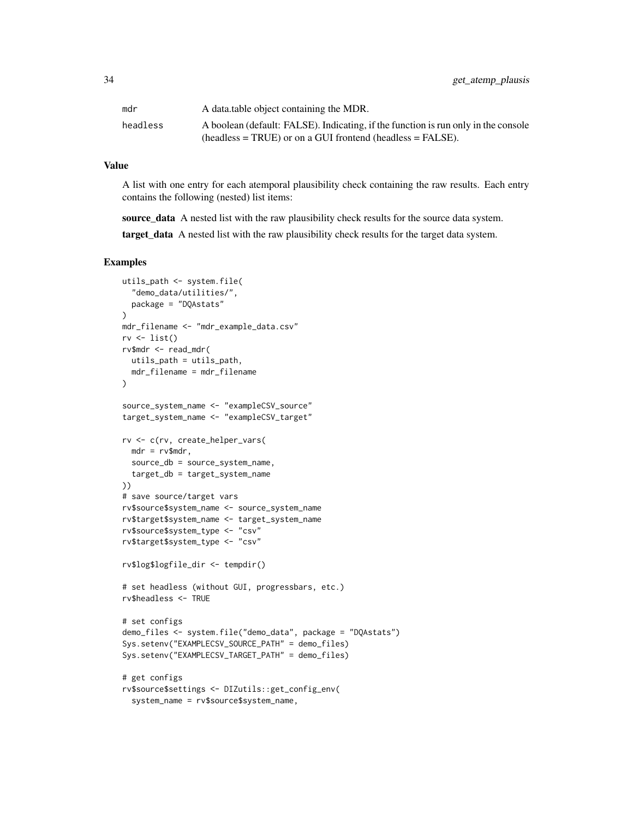| mdr      | A data table object containing the MDR.                                            |
|----------|------------------------------------------------------------------------------------|
| headless | A boolean (default: FALSE). Indicating, if the function is run only in the console |
|          | $(headless = TRUE)$ or on a GUI frontend (headless $= FALSE$ ).                    |

#### Value

A list with one entry for each atemporal plausibility check containing the raw results. Each entry contains the following (nested) list items:

source\_data A nested list with the raw plausibility check results for the source data system.

target\_data A nested list with the raw plausibility check results for the target data system.

```
utils_path <- system.file(
  "demo_data/utilities/",
  package = "DQAstats"
\lambdamdr_filename <- "mdr_example_data.csv"
rv \leftarrow list()rv$mdr <- read_mdr(
 utils_path = utils_path,
  mdr_filename = mdr_filename
)
source_system_name <- "exampleCSV_source"
target_system_name <- "exampleCSV_target"
rv <- c(rv, create_helper_vars(
 mdr = rv$mdr,
  source_db = source_system_name,
  target_db = target_system_name
))
# save source/target vars
rv$source$system_name <- source_system_name
rv$target$system_name <- target_system_name
rv$source$system_type <- "csv"
rv$target$system_type <- "csv"
rv$log$logfile_dir <- tempdir()
# set headless (without GUI, progressbars, etc.)
rv$headless <- TRUE
# set configs
demo_files <- system.file("demo_data", package = "DQAstats")
Sys.setenv("EXAMPLECSV_SOURCE_PATH" = demo_files)
Sys.setenv("EXAMPLECSV_TARGET_PATH" = demo_files)
# get configs
rv$source$settings <- DIZutils::get_config_env(
  system_name = rv$source$system_name,
```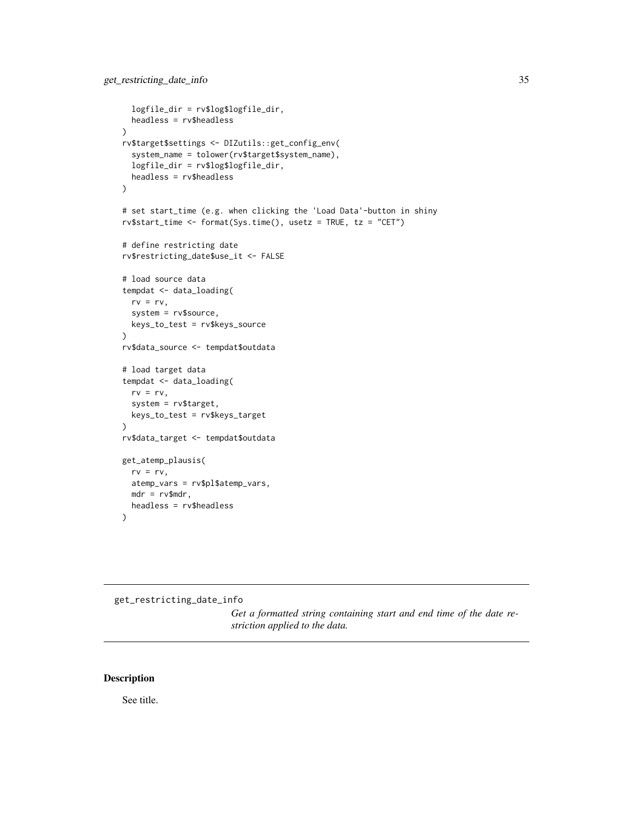```
logfile_dir = rv$log$logfile_dir,
  headless = rv$headless
)
rv$target$settings <- DIZutils::get_config_env(
  system_name = tolower(rv$target$system_name),
  logfile_dir = rv$log$logfile_dir,
  headless = rv$headless
\mathcal{L}# set start_time (e.g. when clicking the 'Load Data'-button in shiny
rv$start_time <- format(Sys.time(), usetz = TRUE, tz = "CET")
# define restricting date
rv$restricting_date$use_it <- FALSE
# load source data
tempdat <- data_loading(
  rv = rv,
  system = rv$source,
  keys_to_test = rv$keys_source
\mathcal{L}rv$data_source <- tempdat$outdata
# load target data
tempdat <- data_loading(
  rv = rv,system = rv$target,
  keys_to_test = rv$keys_target
)
rv$data_target <- tempdat$outdata
get_atemp_plausis(
  rv = rv,atemp_vars = rv$pl$atemp_vars,
  mdr = rv$mdr,
  headless = rv$headless
\lambda
```

```
get_restricting_date_info
```
*Get a formatted string containing start and end time of the date restriction applied to the data.*

# Description

See title.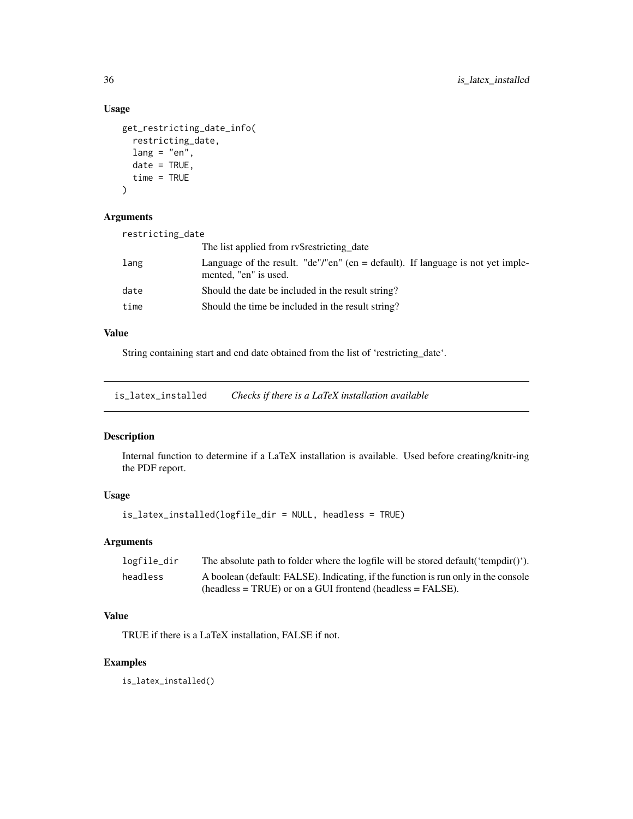# Usage

```
get_restricting_date_info(
  restricting_date,
 lang = "en",date = TRUE,time = TRUE
)
```
# Arguments

| restricting_date |                                                                                                            |
|------------------|------------------------------------------------------------------------------------------------------------|
|                  | The list applied from ry restricting date                                                                  |
| lang             | Language of the result. "de"/"en" (en $=$ default). If language is not yet imple-<br>mented, "en" is used. |
| date             | Should the date be included in the result string?                                                          |
| time             | Should the time be included in the result string?                                                          |

# Value

String containing start and end date obtained from the list of 'restricting\_date'.

is\_latex\_installed *Checks if there is a LaTeX installation available*

#### Description

Internal function to determine if a LaTeX installation is available. Used before creating/knitr-ing the PDF report.

# Usage

is\_latex\_installed(logfile\_dir = NULL, headless = TRUE)

# Arguments

| logfile_dir | The absolute path to folder where the logfile will be stored default ('tempdir()'). |
|-------------|-------------------------------------------------------------------------------------|
| headless    | A boolean (default: FALSE). Indicating, if the function is run only in the console  |
|             | $(headless = TRUE)$ or on a GUI frontend (headless = FALSE).                        |

# Value

TRUE if there is a LaTeX installation, FALSE if not.

# Examples

is\_latex\_installed()

<span id="page-35-0"></span>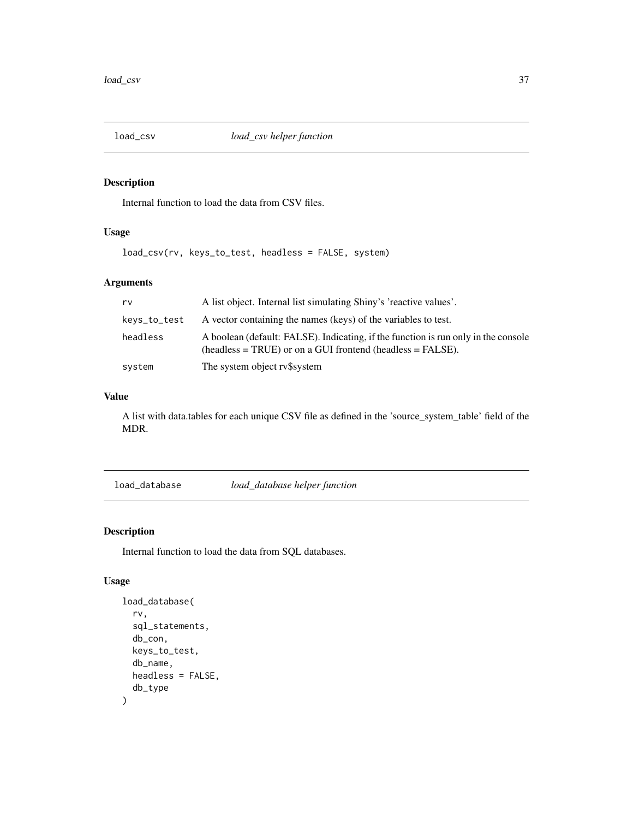<span id="page-36-0"></span>

# Description

Internal function to load the data from CSV files.

# Usage

load\_csv(rv, keys\_to\_test, headless = FALSE, system)

# Arguments

| rv           | A list object. Internal list simulating Shiny's 'reactive values'.                                                                                 |
|--------------|----------------------------------------------------------------------------------------------------------------------------------------------------|
| keys_to_test | A vector containing the names (keys) of the variables to test.                                                                                     |
| headless     | A boolean (default: FALSE). Indicating, if the function is run only in the console<br>$(headless = TRUE)$ or on a GUI frontend (headless = FALSE). |
| system       | The system object ry\$system                                                                                                                       |

# Value

A list with data.tables for each unique CSV file as defined in the 'source\_system\_table' field of the MDR.

load\_database *load\_database helper function*

# Description

Internal function to load the data from SQL databases.

# Usage

```
load_database(
  rv,
  sql_statements,
  db_con,
 keys_to_test,
  db_name,
 headless = FALSE,
  db_type
)
```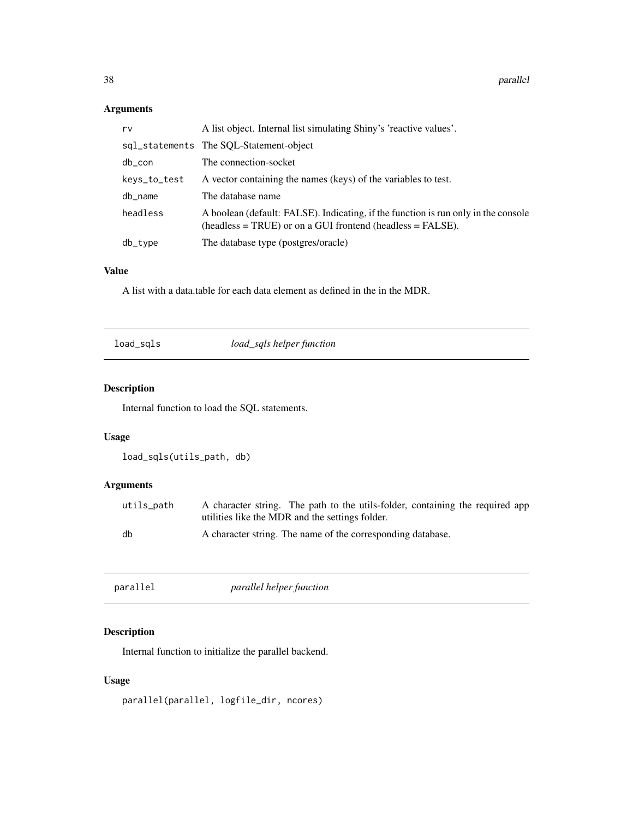# Arguments

| rv           | A list object. Internal list simulating Shiny's 'reactive values'.                                                                              |
|--------------|-------------------------------------------------------------------------------------------------------------------------------------------------|
|              | sql_statements The SQL-Statement-object                                                                                                         |
| db_con       | The connection-socket                                                                                                                           |
| keys_to_test | A vector containing the names (keys) of the variables to test.                                                                                  |
| db_name      | The database name                                                                                                                               |
| headless     | A boolean (default: FALSE). Indicating, if the function is run only in the console<br>$(heads = TRUE)$ or on a GUI frontend $(heads = FALSE)$ . |
| db_type      | The database type (postgres/oracle)                                                                                                             |
|              |                                                                                                                                                 |

# Value

A list with a data.table for each data element as defined in the in the MDR.

load\_sqls *load\_sqls helper function*

# Description

Internal function to load the SQL statements.

# Usage

```
load_sqls(utils_path, db)
```
# Arguments

| utils path | A character string. The path to the utils-folder, containing the required app |
|------------|-------------------------------------------------------------------------------|
|            | utilities like the MDR and the settings folder.                               |
| db         | A character string. The name of the corresponding database.                   |

| parallel | parallel helper function |  |
|----------|--------------------------|--|
|          |                          |  |

# Description

Internal function to initialize the parallel backend.

# Usage

```
parallel(parallel, logfile_dir, ncores)
```
<span id="page-37-0"></span>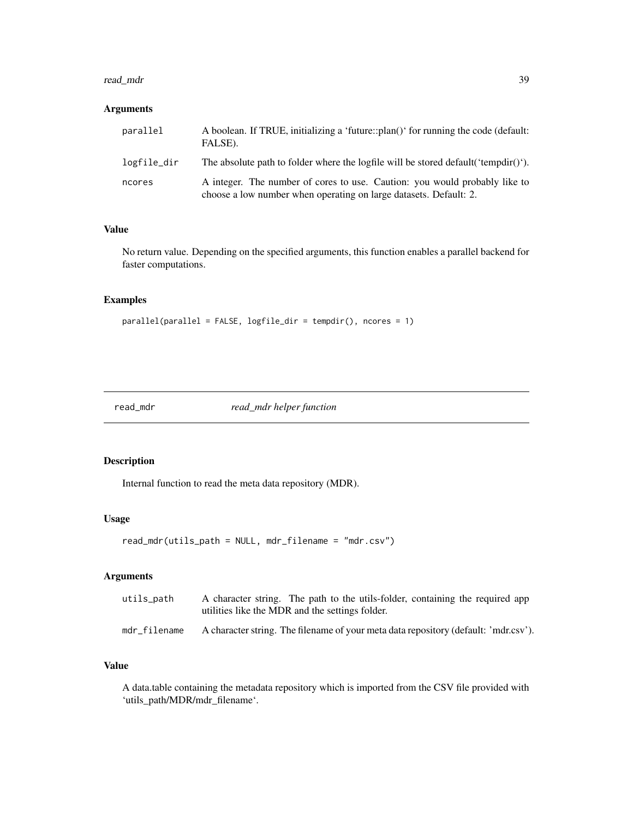#### <span id="page-38-0"></span>read\_mdr 39

# Arguments

| parallel    | A boolean. If TRUE, initializing a 'future::plan()' for running the code (default:<br>FALSE).                                                   |
|-------------|-------------------------------------------------------------------------------------------------------------------------------------------------|
| logfile_dir | The absolute path to folder where the logfile will be stored default ('tempdir()').                                                             |
| ncores      | A integer. The number of cores to use. Caution: you would probably like to<br>choose a low number when operating on large datasets. Default: 2. |

# Value

No return value. Depending on the specified arguments, this function enables a parallel backend for faster computations.

#### Examples

parallel(parallel = FALSE, logfile\_dir = tempdir(), ncores = 1)

read\_mdr *read\_mdr helper function*

# Description

Internal function to read the meta data repository (MDR).

#### Usage

read\_mdr(utils\_path = NULL, mdr\_filename = "mdr.csv")

# Arguments

| utils path   | A character string. The path to the utils-folder, containing the required app<br>utilities like the MDR and the settings folder. |
|--------------|----------------------------------------------------------------------------------------------------------------------------------|
| mdr filename | A character string. The filename of your meta data repository (default: 'mdr.csv').                                              |

#### Value

A data.table containing the metadata repository which is imported from the CSV file provided with 'utils\_path/MDR/mdr\_filename'.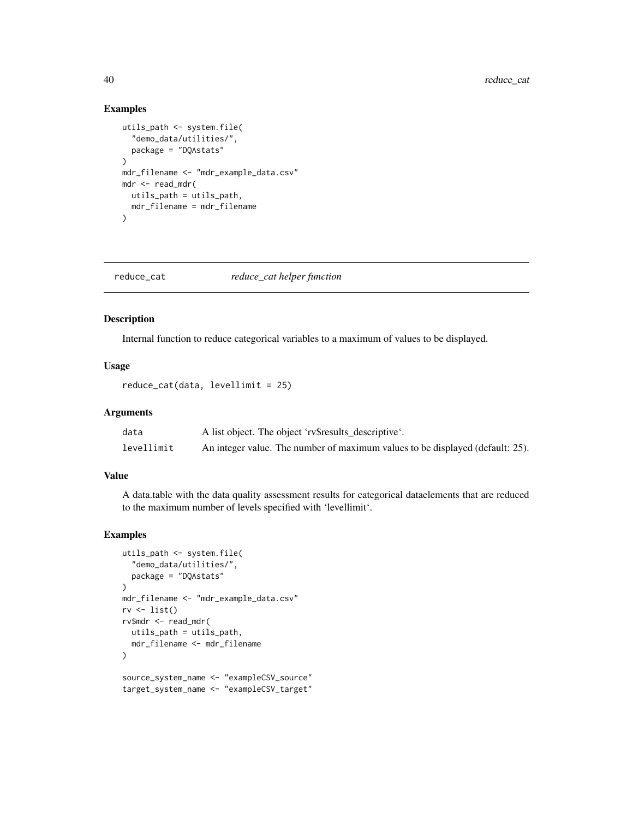### Examples

```
utils_path <- system.file(
  "demo_data/utilities/",
  package = "DQAstats"
\lambdamdr_filename <- "mdr_example_data.csv"
mdr <- read_mdr(
  utils_path = utils_path,
  mdr_filename = mdr_filename
)
```
reduce\_cat *reduce\_cat helper function*

# Description

Internal function to reduce categorical variables to a maximum of values to be displayed.

#### Usage

```
reduce_cat(data, levellimit = 25)
```
#### Arguments

| data       | A list object. The object 'rv\$results_descriptive'.                          |
|------------|-------------------------------------------------------------------------------|
| levellimit | An integer value. The number of maximum values to be displayed (default: 25). |

#### Value

A data.table with the data quality assessment results for categorical dataelements that are reduced to the maximum number of levels specified with 'levellimit'.

```
utils_path <- system.file(
  "demo_data/utilities/",
  package = "DQAstats"
\lambdamdr_filename <- "mdr_example_data.csv"
rv <- list()
rv$mdr <- read_mdr(
  utils_path = utils_path,
  mdr_filename <- mdr_filename
)
source_system_name <- "exampleCSV_source"
target_system_name <- "exampleCSV_target"
```
<span id="page-39-0"></span>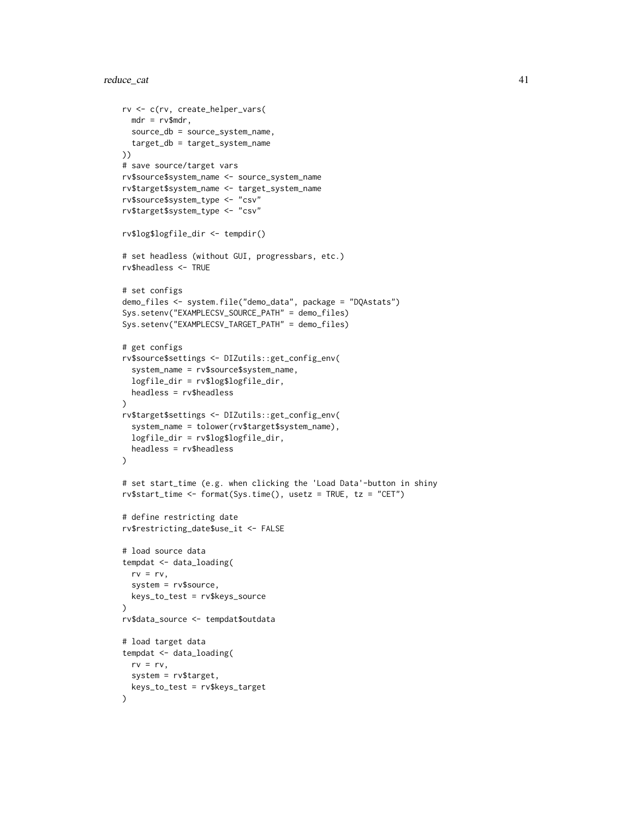# reduce\_cat 41

```
rv <- c(rv, create_helper_vars(
 mdr = rv$mdr,
  source_db = source_system_name,
  target_db = target_system_name
))
# save source/target vars
rv$source$system_name <- source_system_name
rv$target$system_name <- target_system_name
rv$source$system_type <- "csv"
rv$target$system_type <- "csv"
rv$log$logfile_dir <- tempdir()
# set headless (without GUI, progressbars, etc.)
rv$headless <- TRUE
# set configs
demo_files <- system.file("demo_data", package = "DQAstats")
Sys.setenv("EXAMPLECSV_SOURCE_PATH" = demo_files)
Sys.setenv("EXAMPLECSV_TARGET_PATH" = demo_files)
# get configs
rv$source$settings <- DIZutils::get_config_env(
  system_name = rv$source$system_name,
  logfile_dir = rv$log$logfile_dir,
  headless = rv$headless
\lambdarv$target$settings <- DIZutils::get_config_env(
  system_name = tolower(rv$target$system_name),
  logfile_dir = rv$log$logfile_dir,
  headless = rv$headless
\lambda# set start_time (e.g. when clicking the 'Load Data'-button in shiny
rv$start_time <- format(Sys.time(), usetz = TRUE, tz = "CET")
# define restricting date
rv$restricting_date$use_it <- FALSE
# load source data
tempdat <- data_loading(
  rv = rv,
  system = rv$source,
  keys_to_test = rv$keys_source
\lambdarv$data_source <- tempdat$outdata
# load target data
tempdat <- data_loading(
  rv = rv,system = rv$target,
  keys_to_test = rv$keys_target
\lambda
```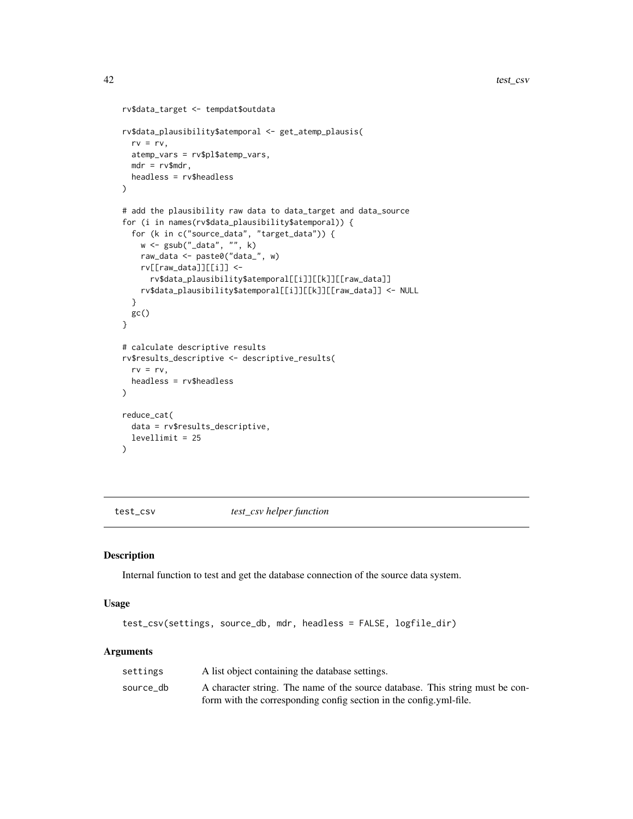```
rv$data_target <- tempdat$outdata
rv$data_plausibility$atemporal <- get_atemp_plausis(
 rv = rv,atemp_vars = rv$pl$atemp_vars,
 mdr = rv$mdr,
 headless = rv$headless
\mathcal{L}# add the plausibility raw data to data_target and data_source
for (i in names(rv$data_plausibility$atemporal)) {
  for (k in c("source_data", "target_data")) {
    w \leftarrow \text{gsub}("data", "", k)raw_data <- paste0("data_", w)
    rv[[raw_data]][[i]] <-
      rv$data_plausibility$atemporal[[i]][[k]][[raw_data]]
    rv$data_plausibility$atemporal[[i]][[k]][[raw_data]] <- NULL
  }
 gc()
}
# calculate descriptive results
rv$results_descriptive <- descriptive_results(
  rv = rv,headless = rv$headless
\mathcal{L}reduce_cat(
  data = rv$results_descriptive,
  levellimit = 25
)
```
test\_csv *test\_csv helper function*

#### Description

Internal function to test and get the database connection of the source data system.

#### Usage

```
test_csv(settings, source_db, mdr, headless = FALSE, logfile_dir)
```
#### Arguments

| settings  | A list object containing the database settings.                               |
|-----------|-------------------------------------------------------------------------------|
| source db | A character string. The name of the source database. This string must be con- |
|           | form with the corresponding config section in the config.yml-file.            |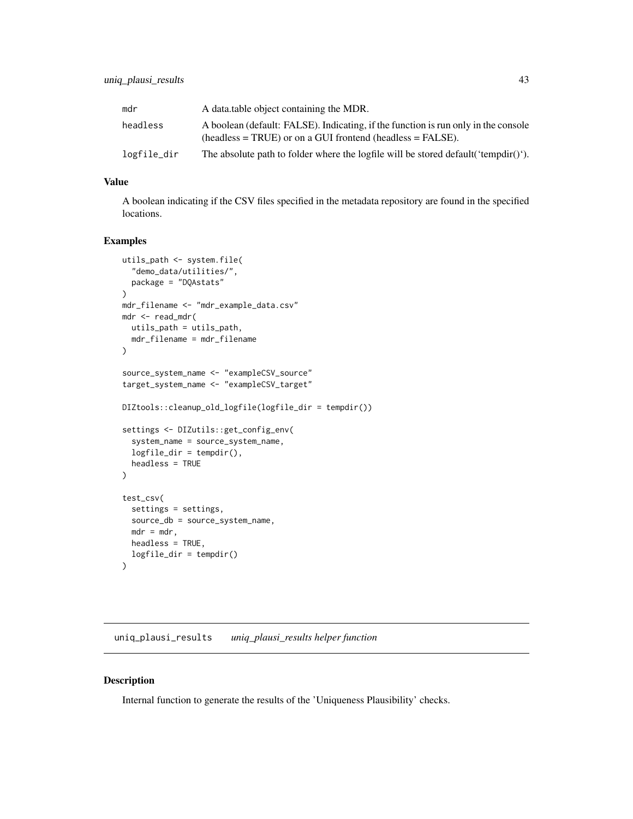<span id="page-42-0"></span>

| mdr         | A data table object containing the MDR.                                                                                                            |
|-------------|----------------------------------------------------------------------------------------------------------------------------------------------------|
| headless    | A boolean (default: FALSE). Indicating, if the function is run only in the console<br>$(headless = TRUE)$ or on a GUI frontend (headless = FALSE). |
| logfile_dir | The absolute path to folder where the logfile will be stored default ('tempdir()').                                                                |

# Value

A boolean indicating if the CSV files specified in the metadata repository are found in the specified locations.

### Examples

```
utils_path <- system.file(
  "demo_data/utilities/",
  package = "DQAstats"
)
mdr_filename <- "mdr_example_data.csv"
mdr <- read_mdr(
 utils_path = utils_path,
 mdr_filename = mdr_filename
)
source_system_name <- "exampleCSV_source"
target_system_name <- "exampleCSV_target"
DIZtools::cleanup_old_logfile(logfile_dir = tempdir())
settings <- DIZutils::get_config_env(
  system_name = source_system_name,
  logfile_dir = tempdir(),
  headless = TRUE
)
test_csv(
  settings = settings,
  source_db = source_system_name,
 mdr = mdr,
 headless = TRUE,
  logfile_dir = tempdir()
\lambda
```
uniq\_plausi\_results *uniq\_plausi\_results helper function*

#### Description

Internal function to generate the results of the 'Uniqueness Plausibility' checks.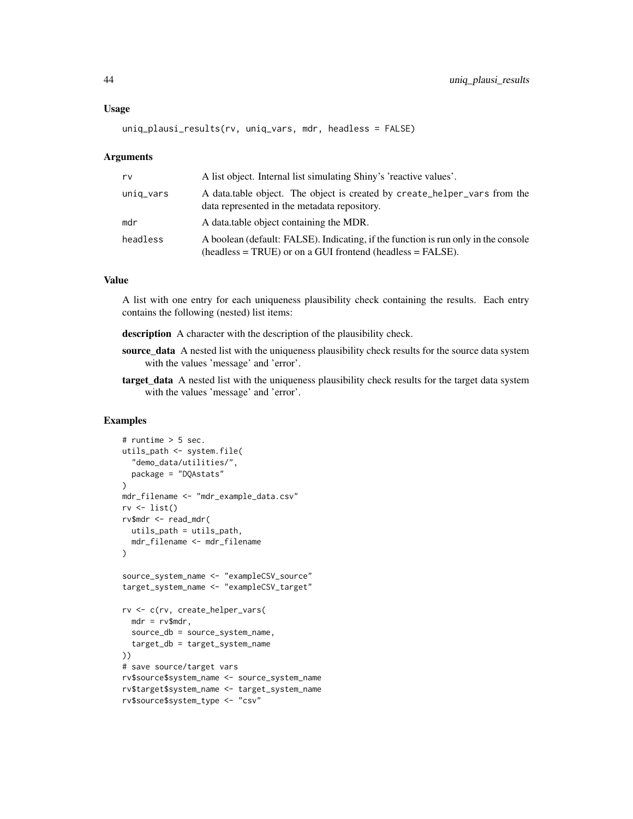#### Usage

```
uniq_plausi_results(rv, uniq_vars, mdr, headless = FALSE)
```
#### Arguments

| rv        | A list object. Internal list simulating Shiny's 'reactive values'.                                                                                 |
|-----------|----------------------------------------------------------------------------------------------------------------------------------------------------|
| uniq_vars | A data table object. The object is created by create_helper_vars from the<br>data represented in the metadata repository.                          |
| mdr       | A data.table object containing the MDR.                                                                                                            |
| headless  | A boolean (default: FALSE). Indicating, if the function is run only in the console<br>$(headless = TRUE)$ or on a GUI frontend (headless = FALSE). |

#### Value

A list with one entry for each uniqueness plausibility check containing the results. Each entry contains the following (nested) list items:

description A character with the description of the plausibility check.

- source\_data A nested list with the uniqueness plausibility check results for the source data system with the values 'message' and 'error'.
- target\_data A nested list with the uniqueness plausibility check results for the target data system with the values 'message' and 'error'.

```
# runtime > 5 sec.
utils_path <- system.file(
  "demo_data/utilities/",
  package = "DQAstats"
\lambdamdr_filename <- "mdr_example_data.csv"
rv \leftarrow list()rv$mdr <- read_mdr(
 utils_path = utils_path,
  mdr_filename <- mdr_filename
)
source_system_name <- "exampleCSV_source"
target_system_name <- "exampleCSV_target"
rv <- c(rv, create_helper_vars(
  mdr = rv$mdr,source_db = source_system_name,
  target_db = target_system_name
))
# save source/target vars
rv$source$system_name <- source_system_name
rv$target$system_name <- target_system_name
rv$source$system_type <- "csv"
```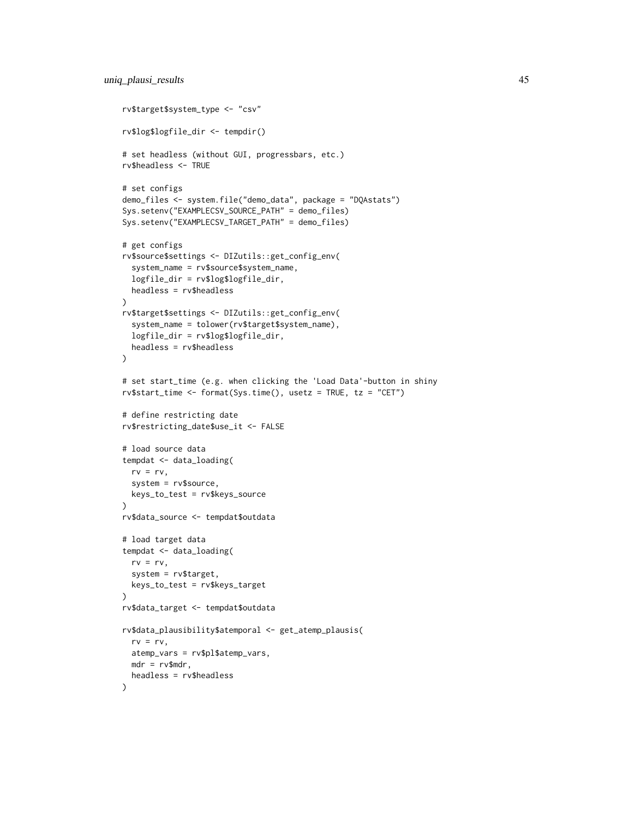```
rv$target$system_type <- "csv"
rv$log$logfile_dir <- tempdir()
# set headless (without GUI, progressbars, etc.)
rv$headless <- TRUE
# set configs
demo_files <- system.file("demo_data", package = "DQAstats")
Sys.setenv("EXAMPLECSV_SOURCE_PATH" = demo_files)
Sys.setenv("EXAMPLECSV_TARGET_PATH" = demo_files)
# get configs
rv$source$settings <- DIZutils::get_config_env(
  system_name = rv$source$system_name,
  logfile_dir = rv$log$logfile_dir,
 headless = rv$headless
)
rv$target$settings <- DIZutils::get_config_env(
  system_name = tolower(rv$target$system_name),
  logfile_dir = rv$log$logfile_dir,
  headless = rv$headless
\lambda# set start_time (e.g. when clicking the 'Load Data'-button in shiny
rv$start_time <- format(Sys.time(), usetz = TRUE, tz = "CET")
# define restricting date
rv$restricting_date$use_it <- FALSE
# load source data
tempdat <- data_loading(
 rv = rv,system = rv$source,
  keys_to_test = rv$keys_source
\lambdarv$data_source <- tempdat$outdata
# load target data
tempdat <- data_loading(
  rv = rv,system = rv$target,
  keys_to_test = rv$keys_target
)
rv$data_target <- tempdat$outdata
rv$data_plausibility$atemporal <- get_atemp_plausis(
  rv = rv,atemp_vars = rv$pl$atemp_vars,
 mdr = rv$mdr,
  headless = rv$headless
)
```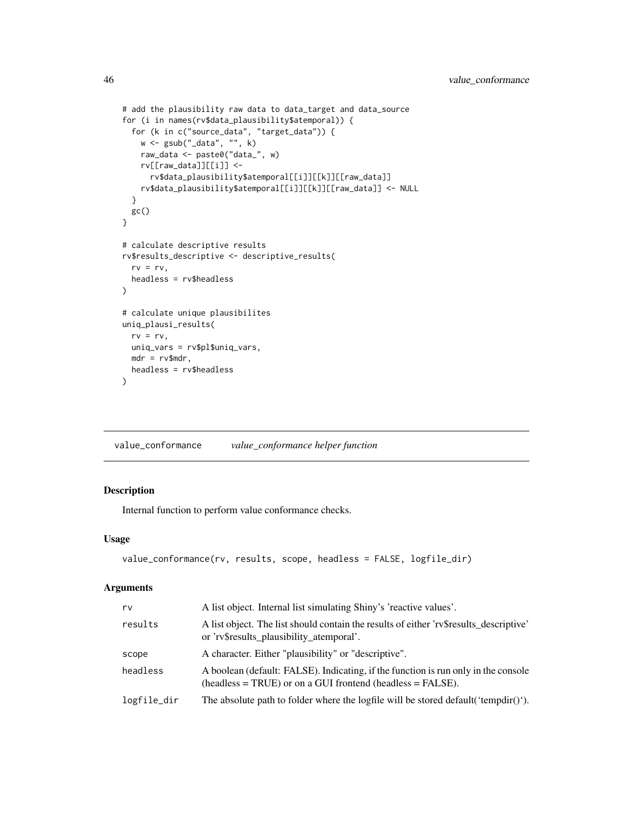```
# add the plausibility raw data to data_target and data_source
for (i in names(rv$data_plausibility$atemporal)) {
  for (k in c("source_data", "target_data")) {
   w <- gsub("_data", "", k)
   raw_data <- paste0("data_", w)
   rv[[raw_data]][[i]] <-
      rv$data_plausibility$atemporal[[i]][[k]][[raw_data]]
   rv$data_plausibility$atemporal[[i]][[k]][[raw_data]] <- NULL
  }
  gc()
}
# calculate descriptive results
rv$results_descriptive <- descriptive_results(
  rv = rv,headless = rv$headless
)
# calculate unique plausibilites
uniq_plausi_results(
  rv = rv,
 uniq_vars = rv$pl$uniq_vars,
 mdr = rv$mdr,
  headless = rv$headless
\mathcal{L}
```
value\_conformance *value\_conformance helper function*

# Description

Internal function to perform value conformance checks.

#### Usage

```
value_conformance(rv, results, scope, headless = FALSE, logfile_dir)
```
#### Arguments

| rv          | A list object. Internal list simulating Shiny's 'reactive values'.                                                                                 |
|-------------|----------------------------------------------------------------------------------------------------------------------------------------------------|
| results     | A list object. The list should contain the results of either 'rv\$results_descriptive'<br>or 'rv\$results_plausibility_atemporal'.                 |
| scope       | A character. Either "plausibility" or "descriptive".                                                                                               |
| headless    | A boolean (default: FALSE). Indicating, if the function is run only in the console<br>$(headless = TRUE)$ or on a GUI frontend (headless = FALSE). |
| logfile_dir | The absolute path to folder where the logfile will be stored default ('tempdir()').                                                                |

<span id="page-45-0"></span>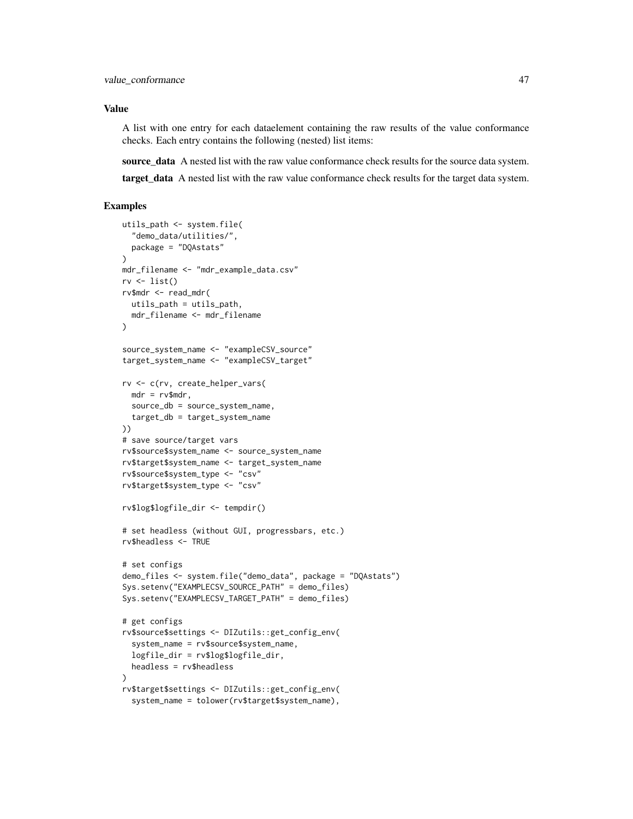#### Value

A list with one entry for each dataelement containing the raw results of the value conformance checks. Each entry contains the following (nested) list items:

source data A nested list with the raw value conformance check results for the source data system.

target\_data A nested list with the raw value conformance check results for the target data system.

```
utils_path <- system.file(
  "demo_data/utilities/",
  package = "DQAstats"
)
mdr_filename <- "mdr_example_data.csv"
rv \leftarrow list()rv$mdr <- read_mdr(
  utils_path = utils_path,
  mdr_filename <- mdr_filename
)
source_system_name <- "exampleCSV_source"
target_system_name <- "exampleCSV_target"
rv <- c(rv, create_helper_vars(
 mdr = rv$mdr,source_db = source_system_name,
  target_db = target_system_name
))
# save source/target vars
rv$source$system_name <- source_system_name
rv$target$system_name <- target_system_name
rv$source$system_type <- "csv"
rv$target$system_type <- "csv"
rv$log$logfile_dir <- tempdir()
# set headless (without GUI, progressbars, etc.)
rv$headless <- TRUE
# set configs
demo_files <- system.file("demo_data", package = "DQAstats")
Sys.setenv("EXAMPLECSV_SOURCE_PATH" = demo_files)
Sys.setenv("EXAMPLECSV_TARGET_PATH" = demo_files)
# get configs
rv$source$settings <- DIZutils::get_config_env(
  system_name = rv$source$system_name,
  logfile_dir = rv$log$logfile_dir,
  headless = rv$headless
)
rv$target$settings <- DIZutils::get_config_env(
  system_name = tolower(rv$target$system_name),
```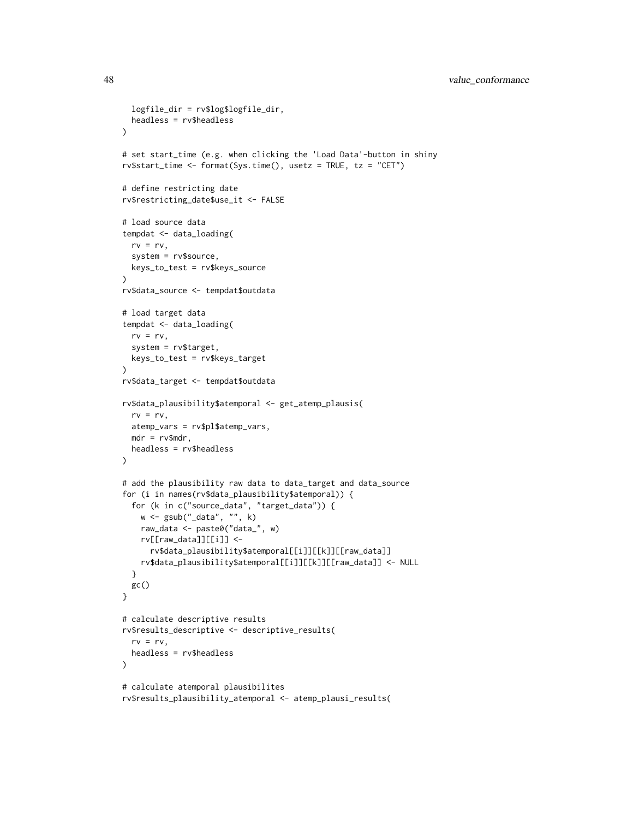```
logfile_dir = rv$log$logfile_dir,
  headless = rv$headless
)
# set start_time (e.g. when clicking the 'Load Data'-button in shiny
rv$start_time <- format(Sys.time(), usetz = TRUE, tz = "CET")
# define restricting date
rv$restricting_date$use_it <- FALSE
# load source data
tempdat <- data_loading(
  rv = rv,system = rv$source,
  keys_to_test = rv$keys_source
)
rv$data_source <- tempdat$outdata
# load target data
tempdat <- data_loading(
  rv = rv,system = rv$target,
  keys_to_test = rv$keys_target
\mathcal{L}rv$data_target <- tempdat$outdata
rv$data_plausibility$atemporal <- get_atemp_plausis(
 rv = rv,
  atemp_vars = rv$pl$atemp_vars,
 mdr = rv$mdr,
  headless = rv$headless
\lambda# add the plausibility raw data to data_target and data_source
for (i in names(rv$data_plausibility$atemporal)) {
  for (k in c("source_data", "target_data")) {
   w <- gsub("_data", "", k)
   raw_data <- paste0("data_", w)
   rv[[raw_data]][[i]] <-
      rv$data_plausibility$atemporal[[i]][[k]][[raw_data]]
   rv$data_plausibility$atemporal[[i]][[k]][[raw_data]] <- NULL
  }
 gc()
}
# calculate descriptive results
rv$results_descriptive <- descriptive_results(
  rv = rv,headless = rv$headless
\lambda# calculate atemporal plausibilites
rv$results_plausibility_atemporal <- atemp_plausi_results(
```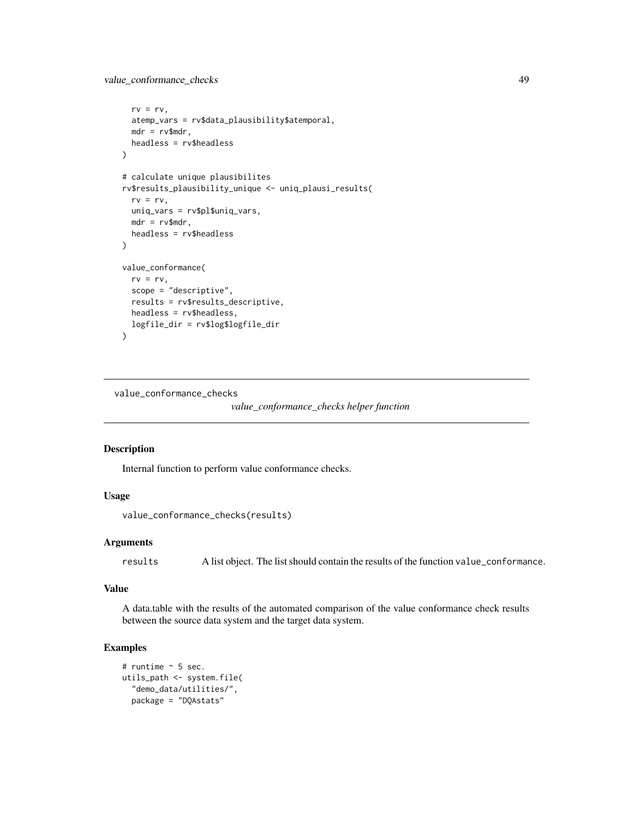```
rv = rv,atemp_vars = rv$data_plausibility$atemporal,
 mdr = rv$mdr,
 headless = rv$headless
)
# calculate unique plausibilites
rv$results_plausibility_unique <- uniq_plausi_results(
 rv = rv,
 uniq_vars = rv$pl$uniq_vars,
 mdr = rv$mdr,
 headless = rv$headless
)
value_conformance(
 rv = rv,
 scope = "descriptive",
 results = rv$results_descriptive,
 headless = rv$headless,
 logfile_dir = rv$log$logfile_dir
)
```
value\_conformance\_checks

*value\_conformance\_checks helper function*

#### Description

Internal function to perform value conformance checks.

#### Usage

```
value_conformance_checks(results)
```
#### Arguments

results A list object. The list should contain the results of the function value\_conformance.

#### Value

A data.table with the results of the automated comparison of the value conformance check results between the source data system and the target data system.

```
# runtime ~ 5 sec.
utils_path <- system.file(
  "demo_data/utilities/",
  package = "DQAstats"
```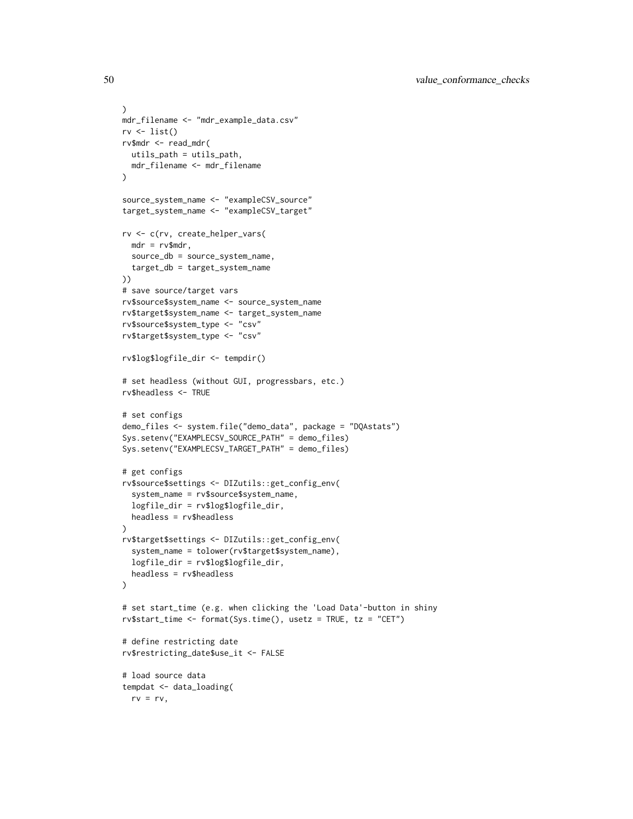```
)
mdr_filename <- "mdr_example_data.csv"
rv \leftarrow list()rv$mdr <- read_mdr(
 utils_path = utils_path,
  mdr_filename <- mdr_filename
)
source_system_name <- "exampleCSV_source"
target_system_name <- "exampleCSV_target"
rv <- c(rv, create_helper_vars(
  mdr = rv$mdr,source_db = source_system_name,
  target_db = target_system_name
))
# save source/target vars
rv$source$system_name <- source_system_name
rv$target$system_name <- target_system_name
rv$source$system_type <- "csv"
rv$target$system_type <- "csv"
rv$log$logfile_dir <- tempdir()
# set headless (without GUI, progressbars, etc.)
rv$headless <- TRUE
# set configs
demo_files <- system.file("demo_data", package = "DQAstats")
Sys.setenv("EXAMPLECSV_SOURCE_PATH" = demo_files)
Sys.setenv("EXAMPLECSV_TARGET_PATH" = demo_files)
# get configs
rv$source$settings <- DIZutils::get_config_env(
  system_name = rv$source$system_name,
  logfile_dir = rv$log$logfile_dir,
  headless = rv$headless
\lambdarv$target$settings <- DIZutils::get_config_env(
  system_name = tolower(rv$target$system_name),
  logfile_dir = rv$log$logfile_dir,
  headless = rv$headless
)
# set start_time (e.g. when clicking the 'Load Data'-button in shiny
rv$start_time <- format(Sys.time(), usetz = TRUE, tz = "CET")
# define restricting date
rv$restricting_date$use_it <- FALSE
# load source data
tempdat <- data_loading(
  rv = rv,
```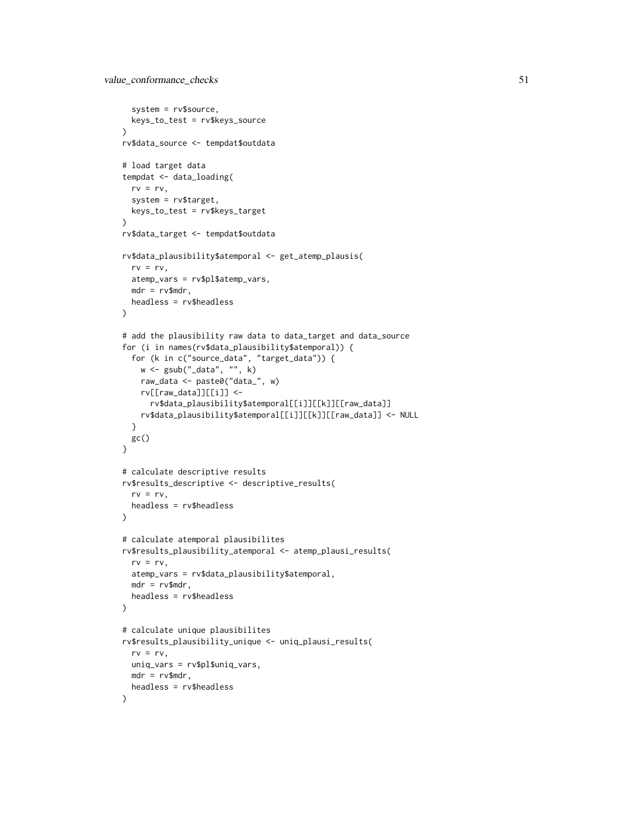```
system = rv$source,
  keys_to_test = rv$keys_source
)
rv$data_source <- tempdat$outdata
# load target data
tempdat <- data_loading(
 rv = rv,system = rv$target,
  keys_to_test = rv$keys_target
\mathcal{L}rv$data_target <- tempdat$outdata
rv$data_plausibility$atemporal <- get_atemp_plausis(
  rv = rv,atemp_vars = rv$pl$atemp_vars,
 mdr = rv$mdr,
  headless = rv$headless
)
# add the plausibility raw data to data_target and data_source
for (i in names(rv$data_plausibility$atemporal)) {
  for (k in c("source_data", "target_data")) {
   w <- gsub("_data", "", k)
   raw_data <- paste0("data_", w)
   rv[[raw_data]][[i]] <-
      rv$data_plausibility$atemporal[[i]][[k]][[raw_data]]
   rv$data_plausibility$atemporal[[i]][[k]][[raw_data]] <- NULL
  }
  gc()
}
# calculate descriptive results
rv$results_descriptive <- descriptive_results(
  rv = rv,headless = rv$headless
\lambda# calculate atemporal plausibilites
rv$results_plausibility_atemporal <- atemp_plausi_results(
  rv = rv,atemp_vars = rv$data_plausibility$atemporal,
  mdr = rv$mdr,
  headless = rv$headless
\lambda# calculate unique plausibilites
rv$results_plausibility_unique <- uniq_plausi_results(
  rv = rv,uniq_vars = rv$pl$uniq_vars,
 mdr = rv$mdr,
  headless = rv$headless
)
```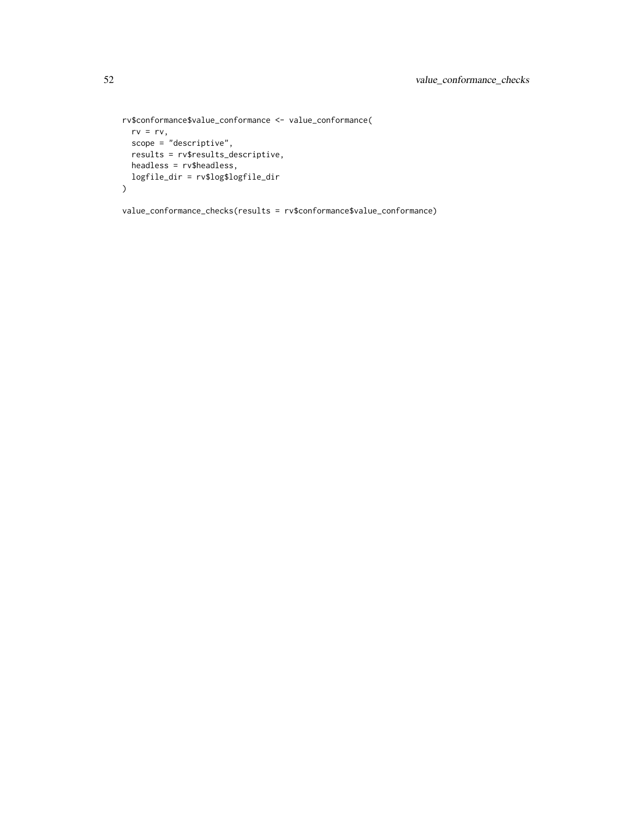```
rv$conformance$value_conformance <- value_conformance(
 rv = rv,scope = "descriptive",
 results = rv$results_descriptive,
 headless = rv$headless,
 logfile_dir = rv$log$logfile_dir
\mathcal{L}
```
value\_conformance\_checks(results = rv\$conformance\$value\_conformance)